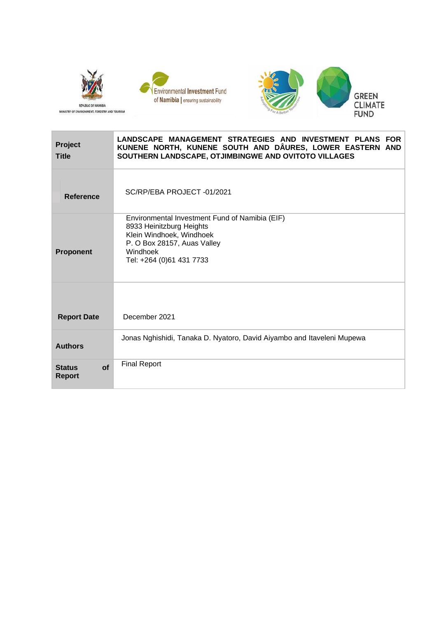



| <b>Project</b><br><b>Title</b>              | LANDSCAPE MANAGEMENT STRATEGIES AND INVESTMENT PLANS FOR<br>KUNENE NORTH, KUNENE SOUTH AND DÂURES, LOWER EASTERN AND<br>SOUTHERN LANDSCAPE, OTJIMBINGWE AND OVITOTO VILLAGES  |
|---------------------------------------------|-------------------------------------------------------------------------------------------------------------------------------------------------------------------------------|
| Reference                                   | SC/RP/EBA PROJECT-01/2021                                                                                                                                                     |
| <b>Proponent</b>                            | Environmental Investment Fund of Namibia (EIF)<br>8933 Heinitzburg Heights<br>Klein Windhoek, Windhoek<br>P. O Box 28157, Auas Valley<br>Windhoek<br>Tel: +264 (0)61 431 7733 |
| <b>Report Date</b>                          | December 2021                                                                                                                                                                 |
| <b>Authors</b>                              | Jonas Nghishidi, Tanaka D. Nyatoro, David Aiyambo and Itaveleni Mupewa                                                                                                        |
| <b>of</b><br><b>Status</b><br><b>Report</b> | <b>Final Report</b>                                                                                                                                                           |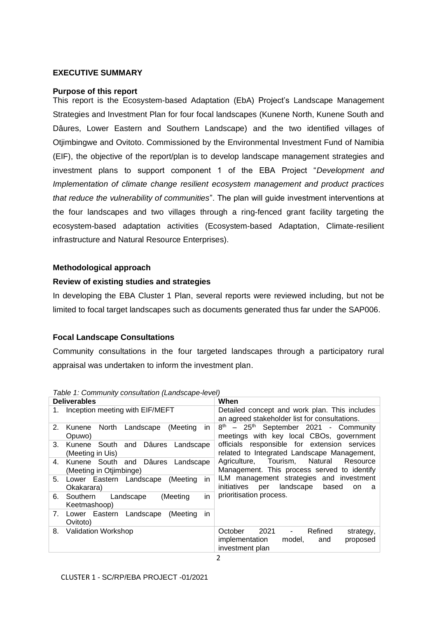### **EXECUTIVE SUMMARY**

#### **Purpose of this report**

This report is the Ecosystem-based Adaptation (EbA) Project's Landscape Management Strategies and Investment Plan for four focal landscapes (Kunene North, Kunene South and Dâures, Lower Eastern and Southern Landscape) and the two identified villages of Otjimbingwe and Ovitoto. Commissioned by the Environmental Investment Fund of Namibia (EIF), the objective of the report/plan is to develop landscape management strategies and investment plans to support component 1 of the EBA Project "*Development and Implementation of climate change resilient ecosystem management and product practices that reduce the vulnerability of communities*". The plan will guide investment interventions at the four landscapes and two villages through a ring-fenced grant facility targeting the ecosystem-based adaptation activities (Ecosystem-based Adaptation, Climate-resilient infrastructure and Natural Resource Enterprises).

### **Methodological approach**

### **Review of existing studies and strategies**

In developing the EBA Cluster 1 Plan, several reports were reviewed including, but not be limited to focal target landscapes such as documents generated thus far under the SAP006.

# **Focal Landscape Consultations**

Community consultations in the four targeted landscapes through a participatory rural appraisal was undertaken to inform the investment plan.

| <b>Deliverables</b>                                                | When                                                                                                                                  |  |  |  |  |
|--------------------------------------------------------------------|---------------------------------------------------------------------------------------------------------------------------------------|--|--|--|--|
| Inception meeting with EIF/MEFT<br>1.                              | Detailed concept and work plan. This includes<br>an agreed stakeholder list for consultations.                                        |  |  |  |  |
| 2.<br>North<br>Landscape<br>(Meeting<br>Kunene<br>in.<br>Opuwo)    | 8 <sup>th</sup> - 25 <sup>th</sup> September 2021 - Community<br>meetings with key local CBOs, government                             |  |  |  |  |
| Kunene South and Dâures Landscape<br>3.<br>(Meeting in Uis)        | officials responsible for extension services<br>related to Integrated Landscape Management,                                           |  |  |  |  |
| Kunene South and Dâures Landscape<br>4.<br>(Meeting in Otjimbinge) | Agriculture, Tourism, Natural<br>Resource<br>Management. This process served to identify                                              |  |  |  |  |
| 5.<br>Lower Eastern Landscape<br>(Meeting<br>in.<br>Okakarara)     | ILM management strategies and investment<br>initiatives<br>landscape<br>based<br>per<br>on.<br>- a                                    |  |  |  |  |
| in<br>Southern<br>Landscape<br>(Meeting)<br>6.<br>Keetmashoop)     | prioritisation process.                                                                                                               |  |  |  |  |
| Lower Eastern Landscape<br>(Meeting<br>in.<br>7.<br>Ovitoto)       |                                                                                                                                       |  |  |  |  |
| Validation Workshop<br>8.                                          | 2021<br>Refined<br>October<br>strategy,<br>$\overline{\phantom{a}}$<br>implementation<br>proposed<br>model,<br>and<br>investment plan |  |  |  |  |

<span id="page-1-0"></span>*Table 1: Community consultation (Landscape-level)*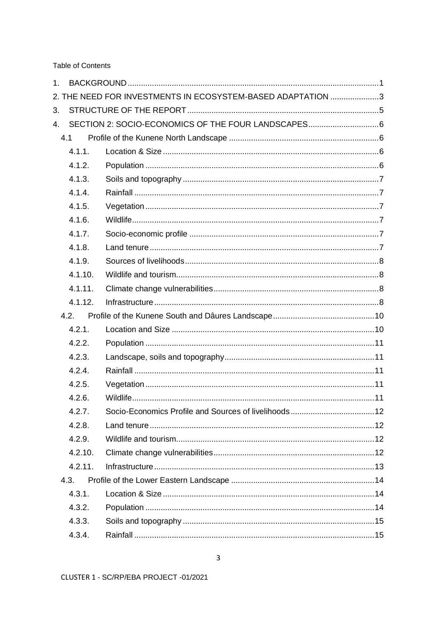**Table of Contents** 

| 1. |         |                                                             |  |
|----|---------|-------------------------------------------------------------|--|
|    |         | 2. THE NEED FOR INVESTMENTS IN ECOSYSTEM-BASED ADAPTATION 3 |  |
| 3. |         |                                                             |  |
| 4. |         |                                                             |  |
|    | 4.1     |                                                             |  |
|    | 4.1.1.  |                                                             |  |
|    | 4.1.2.  |                                                             |  |
|    | 4.1.3.  |                                                             |  |
|    | 4.1.4.  |                                                             |  |
|    | 4.1.5.  |                                                             |  |
|    | 4.1.6.  |                                                             |  |
|    | 4.1.7.  |                                                             |  |
|    | 4.1.8.  |                                                             |  |
|    | 4.1.9.  |                                                             |  |
|    | 4.1.10. |                                                             |  |
|    | 4.1.11. |                                                             |  |
|    | 4.1.12. |                                                             |  |
|    | 4.2.    |                                                             |  |
|    | 4.2.1.  |                                                             |  |
|    | 4.2.2.  |                                                             |  |
|    | 4.2.3.  |                                                             |  |
|    | 4.2.4.  |                                                             |  |
|    | 4.2.5.  |                                                             |  |
|    | 4.2.6.  |                                                             |  |
|    | 4.2.7.  |                                                             |  |
|    | 4.2.8.  |                                                             |  |
|    | 4.2.9.  |                                                             |  |
|    | 4.2.10. |                                                             |  |
|    | 4.2.11. |                                                             |  |
|    | 4.3.    |                                                             |  |
|    | 4.3.1.  |                                                             |  |
|    | 4.3.2.  |                                                             |  |
|    | 4.3.3.  |                                                             |  |
|    | 4.3.4.  |                                                             |  |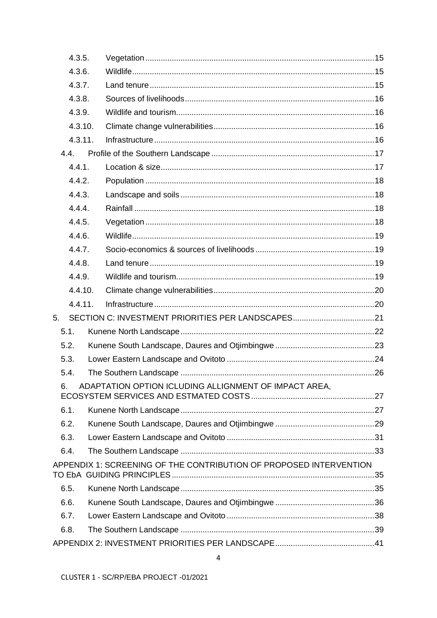|    | 4.3.5.  |                                                                    |  |
|----|---------|--------------------------------------------------------------------|--|
|    | 4.3.6.  |                                                                    |  |
|    | 4.3.7.  |                                                                    |  |
|    | 4.3.8.  |                                                                    |  |
|    | 4.3.9.  |                                                                    |  |
|    | 4.3.10. |                                                                    |  |
|    | 4.3.11. |                                                                    |  |
|    | 4.4.    |                                                                    |  |
|    | 4.4.1.  |                                                                    |  |
|    | 4.4.2.  |                                                                    |  |
|    | 4.4.3.  |                                                                    |  |
|    | 4.4.4.  |                                                                    |  |
|    | 4.4.5.  |                                                                    |  |
|    | 4.4.6.  |                                                                    |  |
|    | 4.4.7.  |                                                                    |  |
|    | 4.4.8.  |                                                                    |  |
|    | 4.4.9.  |                                                                    |  |
|    | 4.4.10. |                                                                    |  |
|    | 4.4.11. |                                                                    |  |
| 5. |         | SECTION C: INVESTMENT PRIORITIES PER LANDSCAPES21                  |  |
|    | 5.1.    |                                                                    |  |
|    | 5.2.    |                                                                    |  |
|    | 5.3.    |                                                                    |  |
|    | 5.4.    |                                                                    |  |
| 6. |         | ADAPTATION OPTION ICLUDING ALLIGNMENT OF IMPACT AREA,              |  |
|    |         |                                                                    |  |
|    | 6.1.    |                                                                    |  |
|    | 6.2.    |                                                                    |  |
|    | 6.3.    |                                                                    |  |
|    | 6.4.    |                                                                    |  |
|    |         | APPENDIX 1: SCREENING OF THE CONTRIBUTION OF PROPOSED INTERVENTION |  |
|    | 6.5.    |                                                                    |  |
|    | 6.6.    |                                                                    |  |
|    | 6.7.    |                                                                    |  |
|    | 6.8.    |                                                                    |  |
|    |         |                                                                    |  |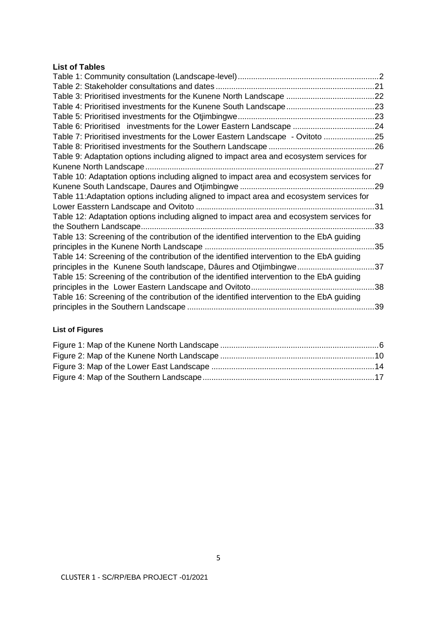# **List of Tables**

| Table 6: Prioritised investments for the Lower Eastern Landscape 24                       |     |
|-------------------------------------------------------------------------------------------|-----|
| Table 7: Prioritised investments for the Lower Eastern Landscape - Ovitoto 25             |     |
|                                                                                           |     |
| Table 9: Adaptation options including aligned to impact area and ecosystem services for   |     |
|                                                                                           |     |
| Table 10: Adaptation options including aligned to impact area and ecosystem services for  |     |
|                                                                                           | .29 |
| Table 11: Adaptation options including aligned to impact area and ecosystem services for  |     |
| Lower Easstern Landscape and Ovitoto                                                      | .31 |
| Table 12: Adaptation options including aligned to impact area and ecosystem services for  |     |
|                                                                                           | .33 |
| Table 13: Screening of the contribution of the identified intervention to the EbA guiding |     |
|                                                                                           | 35  |
| Table 14: Screening of the contribution of the identified intervention to the EbA guiding |     |
| principles in the Kunene South landscape, Dâures and Otjimbingwe                          | 37  |
| Table 15: Screening of the contribution of the identified intervention to the EbA guiding |     |
|                                                                                           | .38 |
| Table 16: Screening of the contribution of the identified intervention to the EbA guiding |     |
|                                                                                           | 39  |
|                                                                                           |     |

# **List of Figures**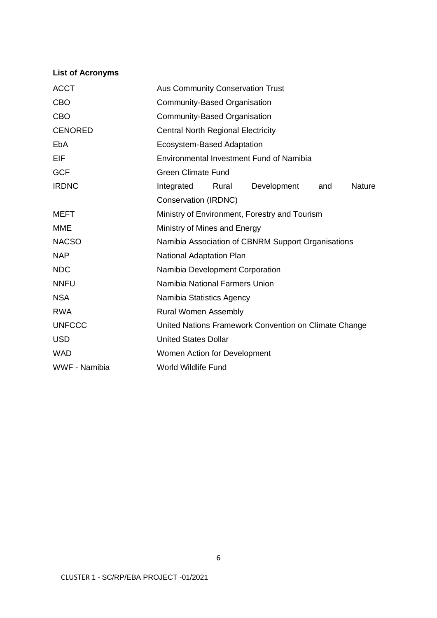# **List of Acronyms**

| <b>ACCT</b>                                 | Aus Community Conservation Trust                      |  |  |  |  |  |  |
|---------------------------------------------|-------------------------------------------------------|--|--|--|--|--|--|
| <b>CBO</b>                                  | Community-Based Organisation                          |  |  |  |  |  |  |
| <b>CBO</b>                                  | Community-Based Organisation                          |  |  |  |  |  |  |
| <b>CENORED</b>                              | <b>Central North Regional Electricity</b>             |  |  |  |  |  |  |
| EbA                                         | Ecosystem-Based Adaptation                            |  |  |  |  |  |  |
| EIF                                         | Environmental Investment Fund of Namibia              |  |  |  |  |  |  |
| <b>GCF</b>                                  | <b>Green Climate Fund</b>                             |  |  |  |  |  |  |
| <b>IRDNC</b>                                | Development<br>Nature<br>Integrated<br>Rural<br>and   |  |  |  |  |  |  |
|                                             | Conservation (IRDNC)                                  |  |  |  |  |  |  |
| <b>MEFT</b>                                 | Ministry of Environment, Forestry and Tourism         |  |  |  |  |  |  |
| <b>MME</b>                                  | Ministry of Mines and Energy                          |  |  |  |  |  |  |
| <b>NACSO</b>                                | Namibia Association of CBNRM Support Organisations    |  |  |  |  |  |  |
| <b>NAP</b>                                  | National Adaptation Plan                              |  |  |  |  |  |  |
| <b>NDC</b>                                  | Namibia Development Corporation                       |  |  |  |  |  |  |
| <b>NNFU</b>                                 | Namibia National Farmers Union                        |  |  |  |  |  |  |
| <b>NSA</b>                                  | Namibia Statistics Agency                             |  |  |  |  |  |  |
| <b>RWA</b>                                  | <b>Rural Women Assembly</b>                           |  |  |  |  |  |  |
| <b>UNFCCC</b>                               | United Nations Framework Convention on Climate Change |  |  |  |  |  |  |
| <b>USD</b>                                  | <b>United States Dollar</b>                           |  |  |  |  |  |  |
| <b>WAD</b>                                  | Women Action for Development                          |  |  |  |  |  |  |
| WWF - Namibia<br><b>World Wildlife Fund</b> |                                                       |  |  |  |  |  |  |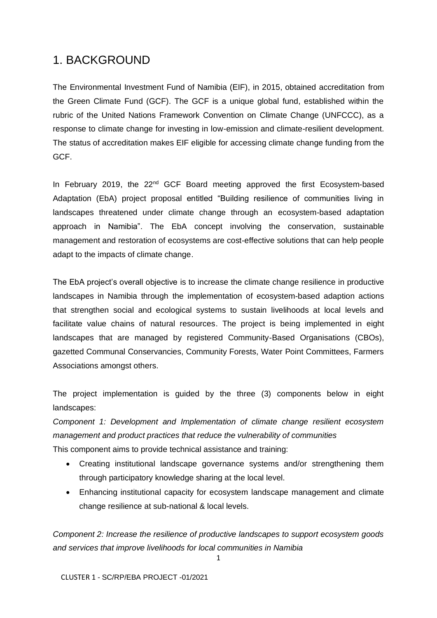# <span id="page-6-0"></span>1. BACKGROUND

The Environmental Investment Fund of Namibia (EIF), in 2015, obtained accreditation from the Green Climate Fund (GCF). The GCF is a unique global fund, established within the rubric of the United Nations Framework Convention on Climate Change (UNFCCC), as a response to climate change for investing in low-emission and climate-resilient development. The status of accreditation makes EIF eligible for accessing climate change funding from the GCF.

In February 2019, the 22<sup>nd</sup> GCF Board meeting approved the first Ecosystem-based Adaptation (EbA) project proposal entitled "Building resilience of communities living in landscapes threatened under climate change through an ecosystem-based adaptation approach in Namibia". The EbA concept involving the conservation, sustainable management and restoration of ecosystems are cost-effective solutions that can help people adapt to the impacts of climate change.

The EbA project's overall objective is to increase the climate change resilience in productive landscapes in Namibia through the implementation of ecosystem-based adaption actions that strengthen social and ecological systems to sustain livelihoods at local levels and facilitate value chains of natural resources. The project is being implemented in eight landscapes that are managed by registered Community-Based Organisations (CBOs), gazetted Communal Conservancies, Community Forests, Water Point Committees, Farmers Associations amongst others.

The project implementation is guided by the three (3) components below in eight landscapes:

*Component 1: Development and Implementation of climate change resilient ecosystem management and product practices that reduce the vulnerability of communities*  This component aims to provide technical assistance and training:

- Creating institutional landscape governance systems and/or strengthening them through participatory knowledge sharing at the local level.
- Enhancing institutional capacity for ecosystem landscape management and climate change resilience at sub-national & local levels.

*Component 2: Increase the resilience of productive landscapes to support ecosystem goods and services that improve livelihoods for local communities in Namibia*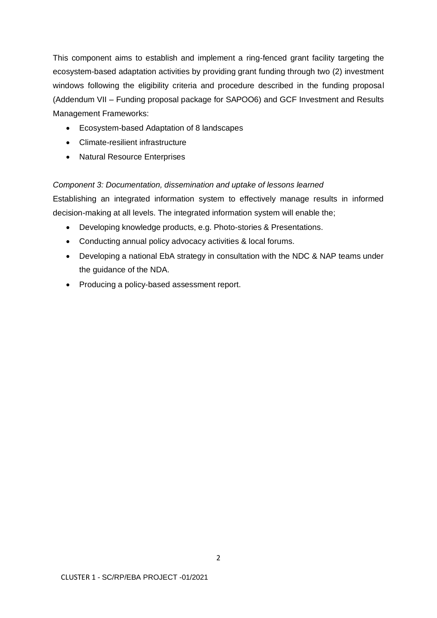This component aims to establish and implement a ring-fenced grant facility targeting the ecosystem-based adaptation activities by providing grant funding through two (2) investment windows following the eligibility criteria and procedure described in the funding proposal (Addendum VII – Funding proposal package for SAPOO6) and GCF Investment and Results Management Frameworks:

- Ecosystem-based Adaptation of 8 landscapes
- Climate-resilient infrastructure
- Natural Resource Enterprises

## *Component 3: Documentation, dissemination and uptake of lessons learned*

Establishing an integrated information system to effectively manage results in informed decision-making at all levels. The integrated information system will enable the;

- Developing knowledge products, e.g. Photo-stories & Presentations.
- Conducting annual policy advocacy activities & local forums.
- Developing a national EbA strategy in consultation with the NDC & NAP teams under the guidance of the NDA.
- Producing a policy-based assessment report.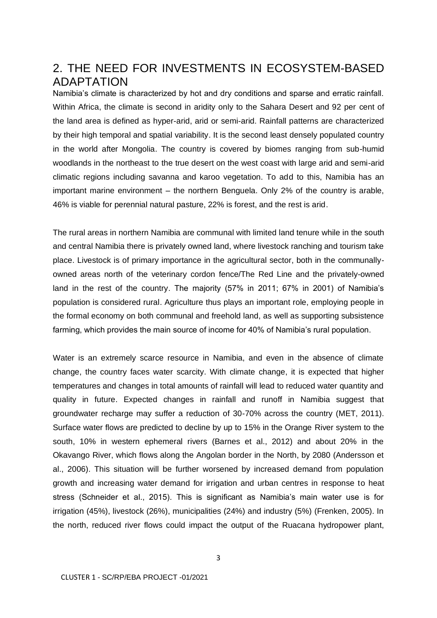# <span id="page-8-0"></span>2. THE NEED FOR INVESTMENTS IN ECOSYSTEM-BASED ADAPTATION

Namibia's climate is characterized by hot and dry conditions and sparse and erratic rainfall. Within Africa, the climate is second in aridity only to the Sahara Desert and 92 per cent of the land area is defined as hyper-arid, arid or semi-arid. Rainfall patterns are characterized by their high temporal and spatial variability. It is the second least densely populated country in the world after Mongolia. The country is covered by biomes ranging from sub-humid woodlands in the northeast to the true desert on the west coast with large arid and semi-arid climatic regions including savanna and karoo vegetation. To add to this, Namibia has an important marine environment – the northern Benguela. Only 2% of the country is arable, 46% is viable for perennial natural pasture, 22% is forest, and the rest is arid.

The rural areas in northern Namibia are communal with limited land tenure while in the south and central Namibia there is privately owned land, where livestock ranching and tourism take place. Livestock is of primary importance in the agricultural sector, both in the communallyowned areas north of the veterinary cordon fence/The Red Line and the privately-owned land in the rest of the country. The majority (57% in 2011; 67% in 2001) of Namibia's population is considered rural. Agriculture thus plays an important role, employing people in the formal economy on both communal and freehold land, as well as supporting subsistence farming, which provides the main source of income for 40% of Namibia's rural population.

Water is an extremely scarce resource in Namibia, and even in the absence of climate change, the country faces water scarcity. With climate change, it is expected that higher temperatures and changes in total amounts of rainfall will lead to reduced water quantity and quality in future. Expected changes in rainfall and runoff in Namibia suggest that groundwater recharge may suffer a reduction of 30-70% across the country (MET, 2011). Surface water flows are predicted to decline by up to 15% in the Orange River system to the south, 10% in western ephemeral rivers (Barnes et al., 2012) and about 20% in the Okavango River, which flows along the Angolan border in the North, by 2080 (Andersson et al., 2006). This situation will be further worsened by increased demand from population growth and increasing water demand for irrigation and urban centres in response to heat stress (Schneider et al., 2015). This is significant as Namibia's main water use is for irrigation (45%), livestock (26%), municipalities (24%) and industry (5%) (Frenken, 2005). In the north, reduced river flows could impact the output of the Ruacana hydropower plant,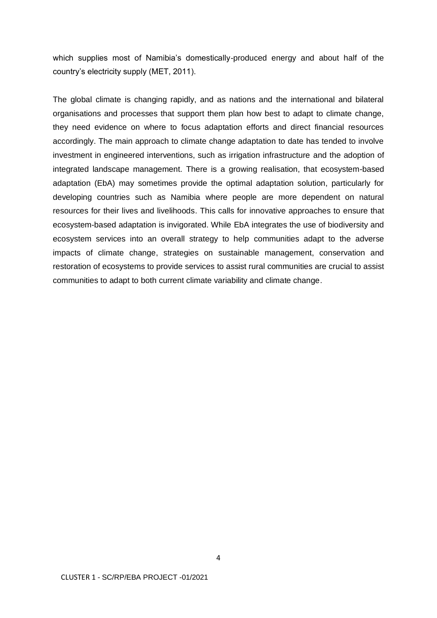which supplies most of Namibia's domestically-produced energy and about half of the country's electricity supply (MET, 2011).

The global climate is changing rapidly, and as nations and the international and bilateral organisations and processes that support them plan how best to adapt to climate change, they need evidence on where to focus adaptation efforts and direct financial resources accordingly. The main approach to climate change adaptation to date has tended to involve investment in engineered interventions, such as irrigation infrastructure and the adoption of integrated landscape management. There is a growing realisation, that ecosystem-based adaptation (EbA) may sometimes provide the optimal adaptation solution, particularly for developing countries such as Namibia where people are more dependent on natural resources for their lives and livelihoods. This calls for innovative approaches to ensure that ecosystem-based adaptation is invigorated. While EbA integrates the use of biodiversity and ecosystem services into an overall strategy to help communities adapt to the adverse impacts of climate change, strategies on sustainable management, conservation and restoration of ecosystems to provide services to assist rural communities are crucial to assist communities to adapt to both current climate variability and climate change.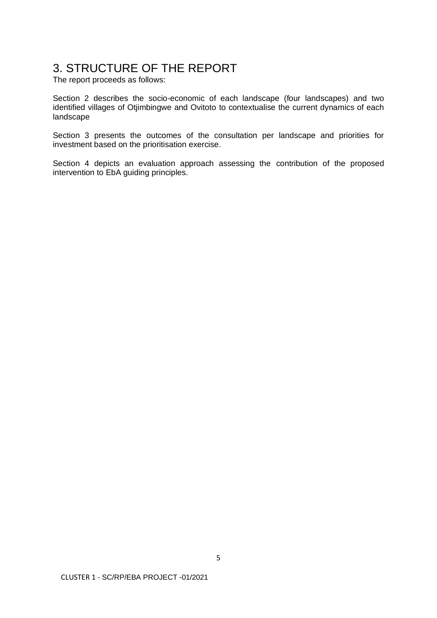# <span id="page-10-0"></span>3. STRUCTURE OF THE REPORT

The report proceeds as follows:

Section 2 describes the socio-economic of each landscape (four landscapes) and two identified villages of Otjimbingwe and Ovitoto to contextualise the current dynamics of each landscape

Section 3 presents the outcomes of the consultation per landscape and priorities for investment based on the prioritisation exercise.

Section 4 depicts an evaluation approach assessing the contribution of the proposed intervention to EbA guiding principles.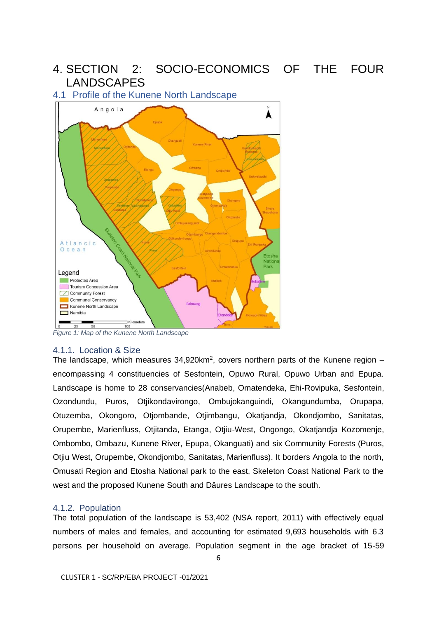# <span id="page-11-0"></span>4. SECTION 2: SOCIO-ECONOMICS OF THE FOUR LANDSCAPES

# <span id="page-11-1"></span>4.1 Profile of the Kunene North Landscape



<span id="page-11-4"></span>*Figure 1: Map of the Kunene North Landscape*

### <span id="page-11-2"></span>4.1.1. Location & Size

The landscape, which measures  $34,920$ km<sup>2</sup>, covers northern parts of the Kunene region  $$ encompassing 4 constituencies of Sesfontein, Opuwo Rural, Opuwo Urban and Epupa. Landscape is home to 28 conservancies(Anabeb, Omatendeka, Ehi-Rovipuka, Sesfontein, Ozondundu, Puros, Otjikondavirongo, Ombujokanguindi, Okangundumba, Orupapa, Otuzemba, Okongoro, Otjombande, Otjimbangu, Okatjandja, Okondjombo, Sanitatas, Orupembe, Marienfluss, Otjitanda, Etanga, Otjiu-West, Ongongo, Okatjandja Kozomenje, Ombombo, Ombazu, Kunene River, Epupa, Okanguati) and six Community Forests (Puros, Otjiu West, Orupembe, Okondjombo, Sanitatas, Marienfluss). It borders Angola to the north, Omusati Region and Etosha National park to the east, Skeleton Coast National Park to the west and the proposed Kunene South and Dâures Landscape to the south.

#### <span id="page-11-3"></span>4.1.2. Population

The total population of the landscape is 53,402 (NSA report, 2011) with effectively equal numbers of males and females, and accounting for estimated 9,693 households with 6.3 persons per household on average. Population segment in the age bracket of 15-59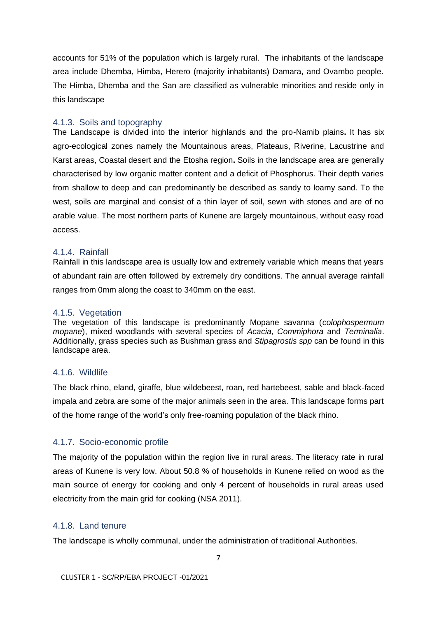accounts for 51% of the population which is largely rural. The inhabitants of the landscape area include Dhemba, Himba, Herero (majority inhabitants) Damara, and Ovambo people. The Himba, Dhemba and the San are classified as vulnerable minorities and reside only in this landscape

# <span id="page-12-0"></span>4.1.3. Soils and topography

The Landscape is divided into the interior highlands and the pro-Namib plains**.** It has six agro-ecological zones namely the Mountainous areas, Plateaus, Riverine, Lacustrine and Karst areas, Coastal desert and the Etosha region**.** Soils in the landscape area are generally characterised by low organic matter content and a deficit of Phosphorus. Their depth varies from shallow to deep and can predominantly be described as sandy to loamy sand. To the west, soils are marginal and consist of a thin layer of soil, sewn with stones and are of no arable value. The most northern parts of Kunene are largely mountainous, without easy road access.

# <span id="page-12-1"></span>4.1.4. Rainfall

Rainfall in this landscape area is usually low and extremely variable which means that years of abundant rain are often followed by extremely dry conditions. The annual average rainfall ranges from 0mm along the coast to 340mm on the east.

# <span id="page-12-2"></span>4.1.5. Vegetation

The vegetation of this landscape is predominantly Mopane savanna (*colophospermum mopane*), mixed woodlands with several species of *Acacia, Commiphora* and *Terminalia*. Additionally, grass species such as Bushman grass and *Stipagrostis spp* can be found in this landscape area.

# <span id="page-12-3"></span>4.1.6. Wildlife

The black rhino, eland, giraffe, blue wildebeest, roan, red hartebeest, sable and black-faced impala and zebra are some of the major animals seen in the area. This landscape forms part of the home range of the world's only free-roaming population of the black rhino.

# <span id="page-12-4"></span>4.1.7. Socio-economic profile

The majority of the population within the region live in rural areas. The literacy rate in rural areas of Kunene is very low. About 50.8 % of households in Kunene relied on wood as the main source of energy for cooking and only 4 percent of households in rural areas used electricity from the main grid for cooking (NSA 2011).

# <span id="page-12-5"></span>4.1.8. Land tenure

The landscape is wholly communal, under the administration of traditional Authorities.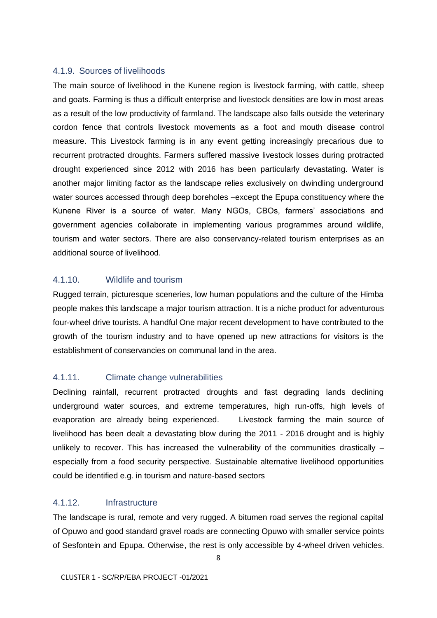## <span id="page-13-0"></span>4.1.9. Sources of livelihoods

The main source of livelihood in the Kunene region is livestock farming, with cattle, sheep and goats. Farming is thus a difficult enterprise and livestock densities are low in most areas as a result of the low productivity of farmland. The landscape also falls outside the veterinary cordon fence that controls livestock movements as a foot and mouth disease control measure. This Livestock farming is in any event getting increasingly precarious due to recurrent protracted droughts. Farmers suffered massive livestock losses during protracted drought experienced since 2012 with 2016 has been particularly devastating. Water is another major limiting factor as the landscape relies exclusively on dwindling underground water sources accessed through deep boreholes –except the Epupa constituency where the Kunene River is a source of water. Many NGOs, CBOs, farmers' associations and government agencies collaborate in implementing various programmes around wildlife, tourism and water sectors. There are also conservancy-related tourism enterprises as an additional source of livelihood.

# <span id="page-13-1"></span>4.1.10. Wildlife and tourism

Rugged terrain, picturesque sceneries, low human populations and the culture of the Himba people makes this landscape a major tourism attraction. It is a niche product for adventurous four-wheel drive tourists. A handful One major recent development to have contributed to the growth of the tourism industry and to have opened up new attractions for visitors is the establishment of conservancies on communal land in the area.

# <span id="page-13-2"></span>4.1.11. Climate change vulnerabilities

Declining rainfall, recurrent protracted droughts and fast degrading lands declining underground water sources, and extreme temperatures, high run-offs, high levels of evaporation are already being experienced. Livestock farming the main source of livelihood has been dealt a devastating blow during the 2011 - 2016 drought and is highly unlikely to recover. This has increased the vulnerability of the communities drastically  $$ especially from a food security perspective. Sustainable alternative livelihood opportunities could be identified e.g. in tourism and nature-based sectors

# <span id="page-13-3"></span>4.1.12. Infrastructure

The landscape is rural, remote and very rugged. A bitumen road serves the regional capital of Opuwo and good standard gravel roads are connecting Opuwo with smaller service points of Sesfontein and Epupa. Otherwise, the rest is only accessible by 4-wheel driven vehicles.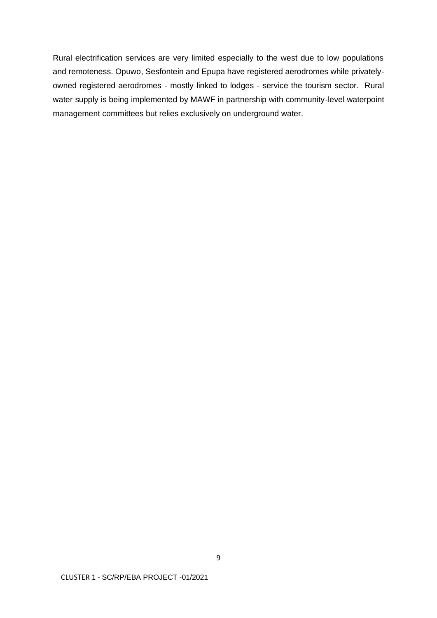Rural electrification services are very limited especially to the west due to low populations and remoteness. Opuwo, Sesfontein and Epupa have registered aerodromes while privatelyowned registered aerodromes - mostly linked to lodges - service the tourism sector. Rural water supply is being implemented by MAWF in partnership with community-level waterpoint management committees but relies exclusively on underground water.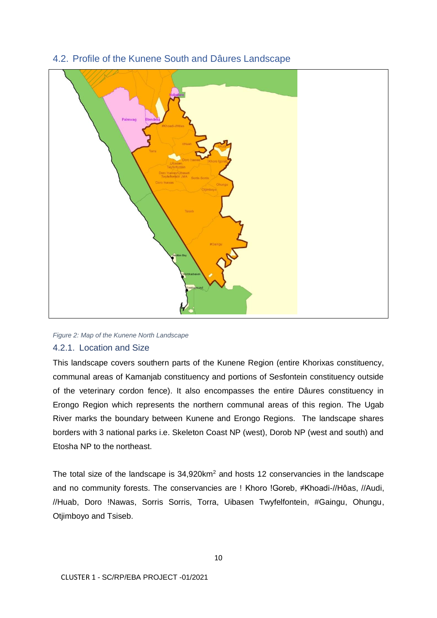

# <span id="page-15-0"></span>4.2. Profile of the Kunene South and Dâures Landscape

#### <span id="page-15-2"></span>*Figure 2: Map of the Kunene North Landscape*

# <span id="page-15-1"></span>4.2.1. Location and Size

This landscape covers southern parts of the Kunene Region (entire Khorixas constituency, communal areas of Kamanjab constituency and portions of Sesfontein constituency outside of the veterinary cordon fence). It also encompasses the entire Dâures constituency in Erongo Region which represents the northern communal areas of this region. The Ugab River marks the boundary between Kunene and Erongo Regions. The landscape shares borders with 3 national parks i.e. Skeleton Coast NP (west), Dorob NP (west and south) and Etosha NP to the northeast.

The total size of the landscape is  $34,920 \text{km}^2$  and hosts 12 conservancies in the landscape and no community forests. The conservancies are ! Khoro !Goreb, ≠Khoadi-//Hôas, //Audi, //Huab, Doro !Nawas, Sorris Sorris, Torra, Uibasen Twyfelfontein, #Gaingu, Ohungu, Otjimboyo and Tsiseb.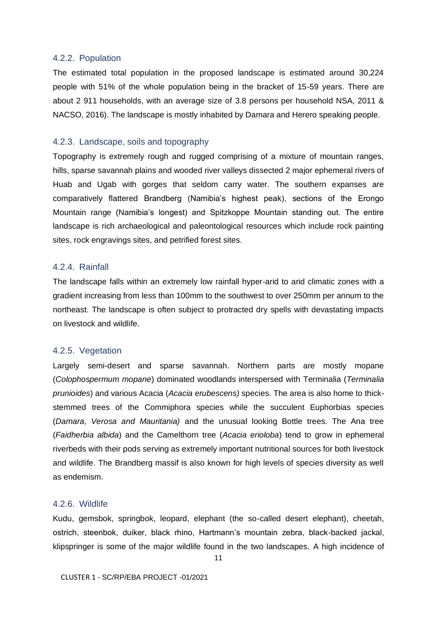#### <span id="page-16-0"></span>4.2.2. Population

The estimated total population in the proposed landscape is estimated around 30,224 people with 51% of the whole population being in the bracket of 15-59 years. There are about 2 911 households, with an average size of 3.8 persons per household NSA, 2011 & NACSO, 2016). The landscape is mostly inhabited by Damara and Herero speaking people.

### <span id="page-16-1"></span>4.2.3. Landscape, soils and topography

Topography is extremely rough and rugged comprising of a mixture of mountain ranges, hills, sparse savannah plains and wooded river valleys dissected 2 major ephemeral rivers of Huab and Ugab with gorges that seldom carry water. The southern expanses are comparatively flattered Brandberg (Namibia's highest peak), sections of the Erongo Mountain range (Namibia's longest) and Spitzkoppe Mountain standing out. The entire landscape is rich archaeological and paleontological resources which include rock painting sites, rock engravings sites, and petrified forest sites.

### <span id="page-16-2"></span>4.2.4. Rainfall

The landscape falls within an extremely low rainfall hyper-arid to arid climatic zones with a gradient increasing from less than 100mm to the southwest to over 250mm per annum to the northeast. The landscape is often subject to protracted dry spells with devastating impacts on livestock and wildlife.

### <span id="page-16-3"></span>4.2.5. Vegetation

Largely semi-desert and sparse savannah. Northern parts are mostly mopane (*Colophospermum mopane*) dominated woodlands interspersed with Terminalia (*Terminalia prunioides*) and various Acacia (*Acacia erubescens)* species. The area is also home to thickstemmed trees of the Commiphora species while the succulent Euphorbias species (*Damara, Verosa and Mauritania)* and the unusual looking Bottle trees. The Ana tree (*Faidherbia albida*) and the Camelthorn tree (*Acacia erioloba*) tend to grow in ephemeral riverbeds with their pods serving as extremely important nutritional sources for both livestock and wildlife. The Brandberg massif is also known for high levels of species diversity as well as endemism.

## <span id="page-16-4"></span>4.2.6. Wildlife

Kudu, gemsbok, springbok, leopard, elephant (the so-called desert elephant), cheetah, ostrich, steenbok, duiker, black rhino, Hartmann's mountain zebra, black-backed jackal, klipspringer is some of the major wildlife found in the two landscapes. A high incidence of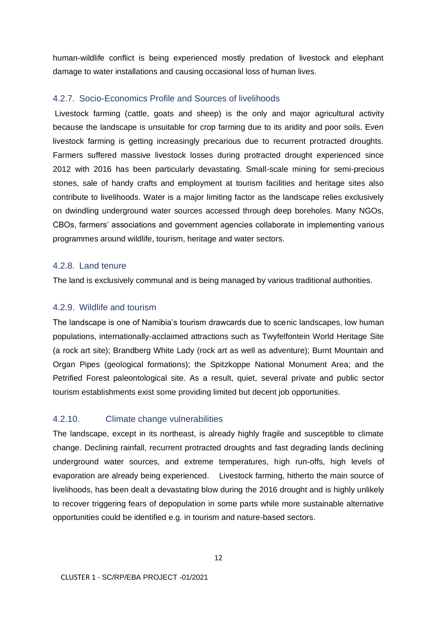human-wildlife conflict is being experienced mostly predation of livestock and elephant damage to water installations and causing occasional loss of human lives.

### <span id="page-17-0"></span>4.2.7. Socio-Economics Profile and Sources of livelihoods

Livestock farming (cattle, goats and sheep) is the only and major agricultural activity because the landscape is unsuitable for crop farming due to its aridity and poor soils. Even livestock farming is getting increasingly precarious due to recurrent protracted droughts. Farmers suffered massive livestock losses during protracted drought experienced since 2012 with 2016 has been particularly devastating. Small-scale mining for semi-precious stones, sale of handy crafts and employment at tourism facilities and heritage sites also contribute to livelihoods. Water is a major limiting factor as the landscape relies exclusively on dwindling underground water sources accessed through deep boreholes. Many NGOs, CBOs, farmers' associations and government agencies collaborate in implementing various programmes around wildlife, tourism, heritage and water sectors.

### <span id="page-17-1"></span>4.2.8. Land tenure

The land is exclusively communal and is being managed by various traditional authorities.

### <span id="page-17-2"></span>4.2.9. Wildlife and tourism

The landscape is one of Namibia's tourism drawcards due to scenic landscapes, low human populations, internationally-acclaimed attractions such as Twyfelfontein World Heritage Site (a rock art site); Brandberg White Lady (rock art as well as adventure); Burnt Mountain and Organ Pipes (geological formations); the Spitzkoppe National Monument Area; and the Petrified Forest paleontological site. As a result, quiet, several private and public sector tourism establishments exist some providing limited but decent job opportunities.

# <span id="page-17-3"></span>4.2.10. Climate change vulnerabilities

The landscape, except in its northeast, is already highly fragile and susceptible to climate change. Declining rainfall, recurrent protracted droughts and fast degrading lands declining underground water sources, and extreme temperatures, high run-offs, high levels of evaporation are already being experienced. Livestock farming, hitherto the main source of livelihoods, has been dealt a devastating blow during the 2016 drought and is highly unlikely to recover triggering fears of depopulation in some parts while more sustainable alternative opportunities could be identified e.g. in tourism and nature-based sectors.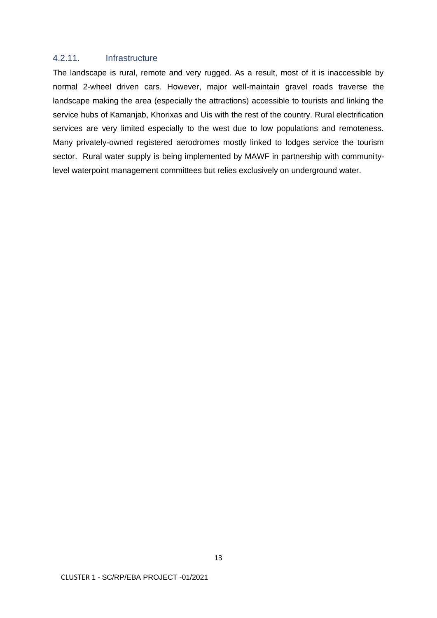# <span id="page-18-0"></span>4.2.11. Infrastructure

The landscape is rural, remote and very rugged. As a result, most of it is inaccessible by normal 2-wheel driven cars. However, major well-maintain gravel roads traverse the landscape making the area (especially the attractions) accessible to tourists and linking the service hubs of Kamanjab, Khorixas and Uis with the rest of the country. Rural electrification services are very limited especially to the west due to low populations and remoteness. Many privately-owned registered aerodromes mostly linked to lodges service the tourism sector. Rural water supply is being implemented by MAWF in partnership with communitylevel waterpoint management committees but relies exclusively on underground water.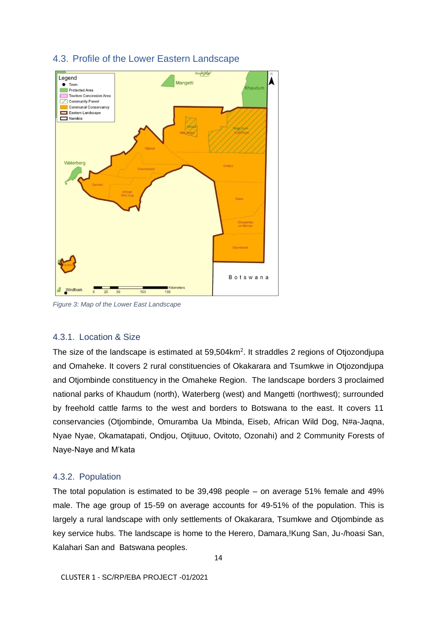

# <span id="page-19-0"></span>4.3. Profile of the Lower Eastern Landscape

<span id="page-19-3"></span>*Figure 3: Map of the Lower East Landscape*

# <span id="page-19-1"></span>4.3.1. Location & Size

The size of the landscape is estimated at  $59,504 \text{km}^2$ . It straddles 2 regions of Otjozondjupa and Omaheke. It covers 2 rural constituencies of Okakarara and Tsumkwe in Otjozondjupa and Otjombinde constituency in the Omaheke Region. The landscape borders 3 proclaimed national parks of Khaudum (north), Waterberg (west) and Mangetti (northwest); surrounded by freehold cattle farms to the west and borders to Botswana to the east. It covers 11 conservancies (Otjombinde, Omuramba Ua Mbinda, Eiseb, African Wild Dog, N#a-Jaqna, Nyae Nyae, Okamatapati, Ondjou, Otjituuo, Ovitoto, Ozonahi) and 2 Community Forests of Naye-Naye and M'kata

# <span id="page-19-2"></span>4.3.2. Population

The total population is estimated to be 39,498 people – on average 51% female and 49% male. The age group of 15-59 on average accounts for 49-51% of the population. This is largely a rural landscape with only settlements of Okakarara, Tsumkwe and Otjombinde as key service hubs. The landscape is home to the Herero, Damara,!Kung San, Ju-/hoasi San, Kalahari San and Batswana peoples.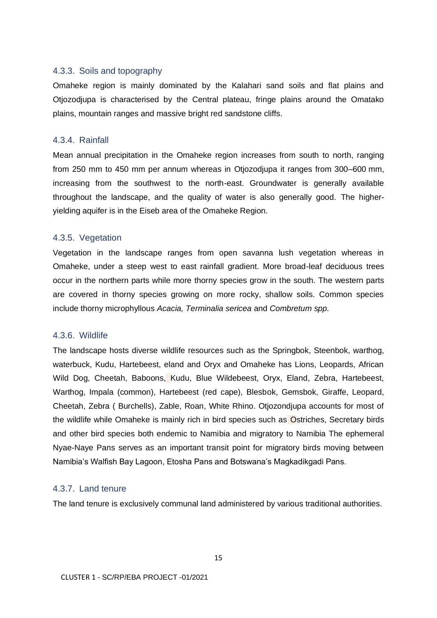### <span id="page-20-0"></span>4.3.3. Soils and topography

Omaheke region is mainly dominated by the Kalahari sand soils and flat plains and Otjozodjupa is characterised by the Central plateau, fringe plains around the Omatako plains, mountain ranges and massive bright red sandstone cliffs.

## <span id="page-20-1"></span>4.3.4. Rainfall

Mean annual precipitation in the Omaheke region increases from south to north, ranging from 250 mm to 450 mm per annum whereas in Otjozodjupa it ranges from 300–600 mm, increasing from the southwest to the north-east. Groundwater is generally available throughout the landscape, and the quality of water is also generally good. The higheryielding aquifer is in the Eiseb area of the Omaheke Region.

# <span id="page-20-2"></span>4.3.5. Vegetation

Vegetation in the landscape ranges from open savanna lush vegetation whereas in Omaheke, under a steep west to east rainfall gradient. More broad-leaf deciduous trees occur in the northern parts while more thorny species grow in the south. The western parts are covered in thorny species growing on more rocky, shallow soils. Common species include thorny microphyllous *Acacia, Terminalia sericea* and *Combretum spp.*

## <span id="page-20-3"></span>4.3.6. Wildlife

The landscape hosts diverse wildlife resources such as the Springbok, Steenbok, warthog, waterbuck, Kudu, Hartebeest, eland and Oryx and Omaheke has Lions, Leopards, African Wild Dog, Cheetah, Baboons, Kudu, Blue Wildebeest, Oryx, Eland, Zebra, Hartebeest, Warthog, Impala (common), Hartebeest (red cape), Blesbok, Gemsbok, Giraffe, Leopard, Cheetah, Zebra ( Burchells), Zable, Roan, White Rhino. Otjozondjupa accounts for most of the wildlife while Omaheke is mainly rich in bird species such as Ostriches, Secretary birds and other bird species both endemic to Namibia and migratory to Namibia The ephemeral Nyae-Naye Pans serves as an important transit point for migratory birds moving between Namibia's Walfish Bay Lagoon, Etosha Pans and Botswana's Magkadikgadi Pans.

# <span id="page-20-4"></span>4.3.7. Land tenure

The land tenure is exclusively communal land administered by various traditional authorities.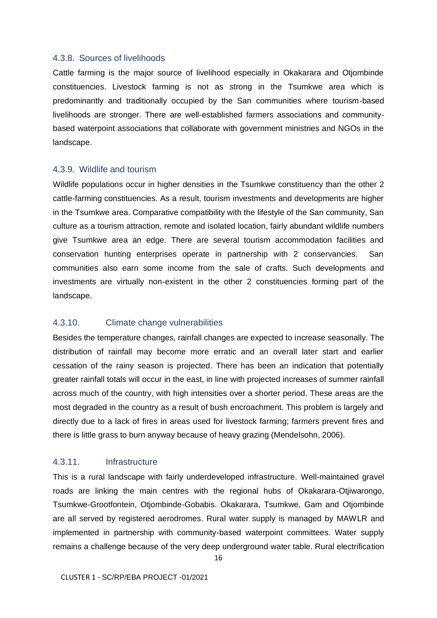#### <span id="page-21-0"></span>4.3.8. Sources of livelihoods

Cattle farming is the major source of livelihood especially in Okakarara and Otjombinde constituencies. Livestock farming is not as strong in the Tsumkwe area which is predominantly and traditionally occupied by the San communities where tourism-based livelihoods are stronger. There are well-established farmers associations and communitybased waterpoint associations that collaborate with government ministries and NGOs in the landscape.

# <span id="page-21-1"></span>4.3.9. Wildlife and tourism

Wildlife populations occur in higher densities in the Tsumkwe constituency than the other 2 cattle-farming constituencies. As a result, tourism investments and developments are higher in the Tsumkwe area. Comparative compatibility with the lifestyle of the San community, San culture as a tourism attraction, remote and isolated location, fairly abundant wildlife numbers give Tsumkwe area an edge. There are several tourism accommodation facilities and conservation hunting enterprises operate in partnership with 2 conservancies. San communities also earn some income from the sale of crafts. Such developments and investments are virtually non-existent in the other 2 constituencies forming part of the landscape.

## <span id="page-21-2"></span>4.3.10. Climate change vulnerabilities

Besides the temperature changes, rainfall changes are expected to increase seasonally. The distribution of rainfall may become more erratic and an overall later start and earlier cessation of the rainy season is projected. There has been an indication that potentially greater rainfall totals will occur in the east, in line with projected increases of summer rainfall across much of the country, with high intensities over a shorter period. These areas are the most degraded in the country as a result of bush encroachment. This problem is largely and directly due to a lack of fires in areas used for livestock farming; farmers prevent fires and there is little grass to burn anyway because of heavy grazing (Mendelsohn, 2006).

# <span id="page-21-3"></span>4.3.11. Infrastructure

This is a rural landscape with fairly underdeveloped infrastructure. Well-maintained gravel roads are linking the main centres with the regional hubs of Okakarara-Otjiwarongo, Tsumkwe-Grootfontein, Otjombinde-Gobabis. Okakarara, Tsumkwe, Gam and Otjombinde are all served by registered aerodromes. Rural water supply is managed by MAWLR and implemented in partnership with community-based waterpoint committees. Water supply remains a challenge because of the very deep underground water table. Rural electrification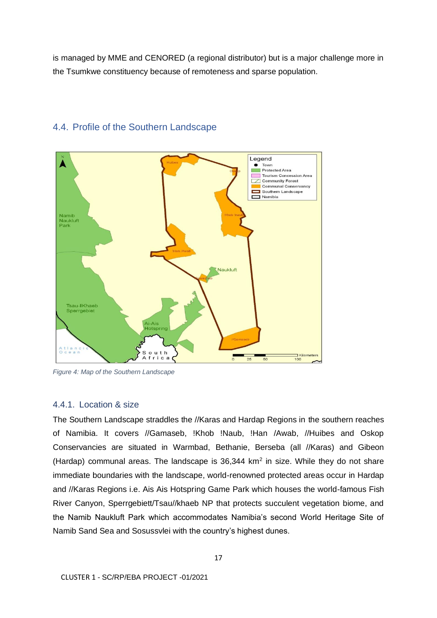is managed by MME and CENORED (a regional distributor) but is a major challenge more in the Tsumkwe constituency because of remoteness and sparse population.



# <span id="page-22-0"></span>4.4. Profile of the Southern Landscape

<span id="page-22-2"></span>*Figure 4: Map of the Southern Landscape*

# <span id="page-22-1"></span>4.4.1. Location & size

The Southern Landscape straddles the //Karas and Hardap Regions in the southern reaches of Namibia. It covers //Gamaseb, !Khob !Naub, !Han /Awab, //Huibes and Oskop Conservancies are situated in Warmbad, Bethanie, Berseba (all //Karas) and Gibeon (Hardap) communal areas. The landscape is  $36,344 \, \text{km}^2$  in size. While they do not share immediate boundaries with the landscape, world-renowned protected areas occur in Hardap and //Karas Regions i.e. Ais Ais Hotspring Game Park which houses the world-famous Fish River Canyon, Sperrgebiett/Tsau//khaeb NP that protects succulent vegetation biome, and the Namib Naukluft Park which accommodates Namibia's second World Heritage Site of Namib Sand Sea and Sosussvlei with the country's highest dunes.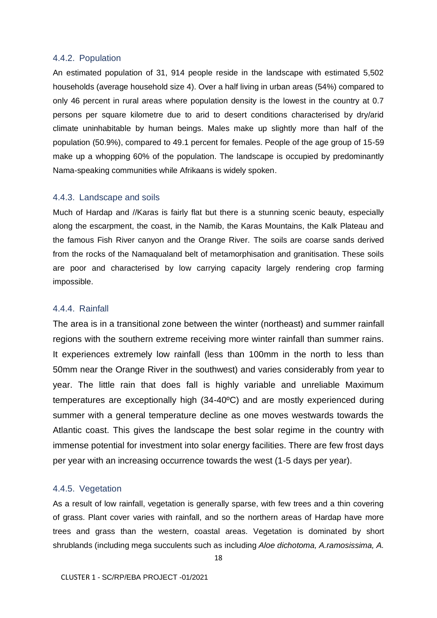#### <span id="page-23-0"></span>4.4.2. Population

An estimated population of 31, 914 people reside in the landscape with estimated 5,502 households (average household size 4). Over a half living in urban areas (54%) compared to only 46 percent in rural areas where population density is the lowest in the country at 0.7 persons per square kilometre due to arid to desert conditions characterised by dry/arid climate uninhabitable by human beings. Males make up slightly more than half of the population (50.9%), compared to 49.1 percent for females. People of the age group of 15-59 make up a whopping 60% of the population. The landscape is occupied by predominantly Nama-speaking communities while Afrikaans is widely spoken.

#### <span id="page-23-1"></span>4.4.3. Landscape and soils

Much of Hardap and //Karas is fairly flat but there is a stunning scenic beauty, especially along the escarpment, the coast, in the Namib, the Karas Mountains, the Kalk Plateau and the famous Fish River canyon and the Orange River. The soils are coarse sands derived from the rocks of the Namaqualand belt of metamorphisation and granitisation. These soils are poor and characterised by low carrying capacity largely rendering crop farming impossible.

### <span id="page-23-2"></span>4.4.4. Rainfall

The area is in a transitional zone between the winter (northeast) and summer rainfall regions with the southern extreme receiving more winter rainfall than summer rains. It experiences extremely low rainfall (less than 100mm in the north to less than 50mm near the Orange River in the southwest) and varies considerably from year to year. The little rain that does fall is highly variable and unreliable Maximum temperatures are exceptionally high (34-40ºC) and are mostly experienced during summer with a general temperature decline as one moves westwards towards the Atlantic coast. This gives the landscape the best solar regime in the country with immense potential for investment into solar energy facilities. There are few frost days per year with an increasing occurrence towards the west (1-5 days per year).

#### <span id="page-23-3"></span>4.4.5. Vegetation

As a result of low rainfall, vegetation is generally sparse, with few trees and a thin covering of grass. Plant cover varies with rainfall, and so the northern areas of Hardap have more trees and grass than the western, coastal areas. Vegetation is dominated by short shrublands (including mega succulents such as including *Aloe dichotoma, A.ramosissima, A.*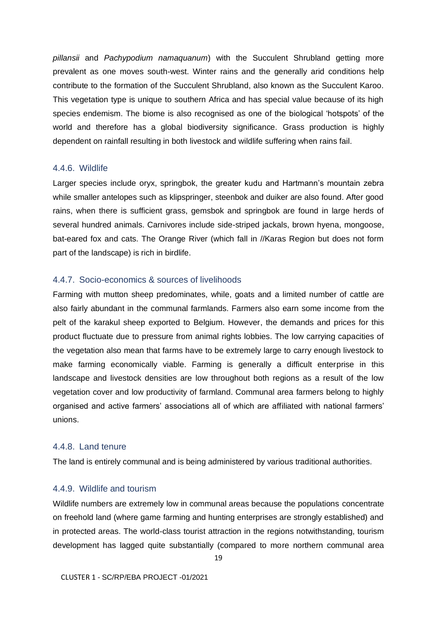*pillansii* and *Pachypodium namaquanum*) with the Succulent Shrubland getting more prevalent as one moves south-west. Winter rains and the generally arid conditions help contribute to the formation of the Succulent Shrubland, also known as the Succulent Karoo. This vegetation type is unique to southern Africa and has special value because of its high species endemism. The biome is also recognised as one of the biological 'hotspots' of the world and therefore has a global biodiversity significance. Grass production is highly dependent on rainfall resulting in both livestock and wildlife suffering when rains fail.

### <span id="page-24-0"></span>4.4.6. Wildlife

Larger species include oryx, springbok, the greater kudu and Hartmann's mountain zebra while smaller antelopes such as klipspringer, steenbok and duiker are also found. After good rains, when there is sufficient grass, gemsbok and springbok are found in large herds of several hundred animals. Carnivores include side-striped jackals, brown hyena, mongoose, bat-eared fox and cats. The Orange River (which fall in //Karas Region but does not form part of the landscape) is rich in birdlife.

### <span id="page-24-1"></span>4.4.7. Socio-economics & sources of livelihoods

Farming with mutton sheep predominates, while, goats and a limited number of cattle are also fairly abundant in the communal farmlands. Farmers also earn some income from the pelt of the karakul sheep exported to Belgium. However, the demands and prices for this product fluctuate due to pressure from animal rights lobbies. The low carrying capacities of the vegetation also mean that farms have to be extremely large to carry enough livestock to make farming economically viable. Farming is generally a difficult enterprise in this landscape and livestock densities are low throughout both regions as a result of the low vegetation cover and low productivity of farmland. Communal area farmers belong to highly organised and active farmers' associations all of which are affiliated with national farmers' unions.

## <span id="page-24-2"></span>4.4.8. Land tenure

The land is entirely communal and is being administered by various traditional authorities.

## <span id="page-24-3"></span>4.4.9. Wildlife and tourism

Wildlife numbers are extremely low in communal areas because the populations concentrate on freehold land (where game farming and hunting enterprises are strongly established) and in protected areas. The world-class tourist attraction in the regions notwithstanding, tourism development has lagged quite substantially (compared to more northern communal area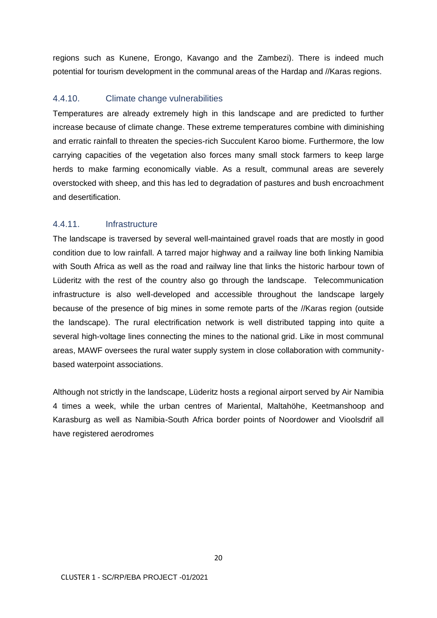regions such as Kunene, Erongo, Kavango and the Zambezi). There is indeed much potential for tourism development in the communal areas of the Hardap and //Karas regions.

## <span id="page-25-0"></span>4.4.10. Climate change vulnerabilities

Temperatures are already extremely high in this landscape and are predicted to further increase because of climate change. These extreme temperatures combine with diminishing and erratic rainfall to threaten the species-rich Succulent Karoo biome. Furthermore, the low carrying capacities of the vegetation also forces many small stock farmers to keep large herds to make farming economically viable. As a result, communal areas are severely overstocked with sheep, and this has led to degradation of pastures and bush encroachment and desertification.

# <span id="page-25-1"></span>4.4.11. Infrastructure

The landscape is traversed by several well-maintained gravel roads that are mostly in good condition due to low rainfall. A tarred major highway and a railway line both linking Namibia with South Africa as well as the road and railway line that links the historic harbour town of Lüderitz with the rest of the country also go through the landscape. Telecommunication infrastructure is also well-developed and accessible throughout the landscape largely because of the presence of big mines in some remote parts of the //Karas region (outside the landscape). The rural electrification network is well distributed tapping into quite a several high-voltage lines connecting the mines to the national grid. Like in most communal areas, MAWF oversees the rural water supply system in close collaboration with communitybased waterpoint associations.

Although not strictly in the landscape, Lüderitz hosts a regional airport served by Air Namibia 4 times a week, while the urban centres of Mariental, Maltahöhe, Keetmanshoop and Karasburg as well as Namibia-South Africa border points of Noordower and Vioolsdrif all have registered aerodromes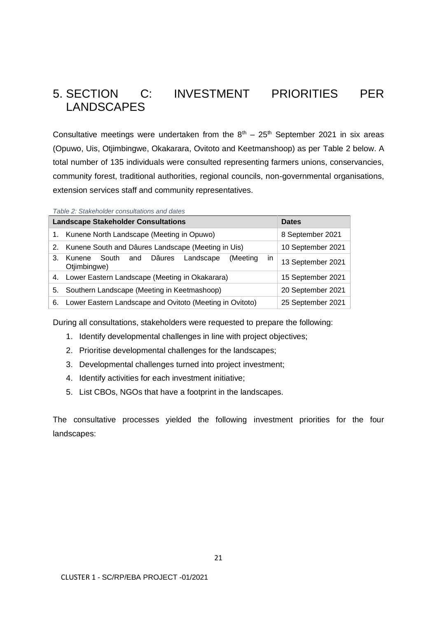# <span id="page-26-0"></span>5. SECTION C: INVESTMENT PRIORITIES PER LANDSCAPES

Consultative meetings were undertaken from the  $8<sup>th</sup> - 25<sup>th</sup>$  September 2021 in six areas (Opuwo, Uis, Otjimbingwe, Okakarara, Ovitoto and Keetmanshoop) as per Table 2 below. A total number of 135 individuals were consulted representing farmers unions, conservancies, community forest, traditional authorities, regional councils, non-governmental organisations, extension services staff and community representatives.

<span id="page-26-1"></span>*Table 2: Stakeholder consultations and dates*

|    | <b>Landscape Stakeholder Consultations</b>                                | <b>Dates</b>      |
|----|---------------------------------------------------------------------------|-------------------|
|    | 1. Kunene North Landscape (Meeting in Opuwo)                              | 8 September 2021  |
|    | 2. Kunene South and Dâures Landscape (Meeting in Uis)                     | 10 September 2021 |
| 3. | in<br>Dâures Landscape<br>(Meeting<br>South and<br>Kunene<br>Otjimbingwe) | 13 September 2021 |
| 4. | Lower Eastern Landscape (Meeting in Okakarara)                            | 15 September 2021 |
| 5. | Southern Landscape (Meeting in Keetmashoop)                               | 20 September 2021 |
| 6. | Lower Eastern Landscape and Ovitoto (Meeting in Ovitoto)                  | 25 September 2021 |

During all consultations, stakeholders were requested to prepare the following:

- 1. Identify developmental challenges in line with project objectives;
- 2. Prioritise developmental challenges for the landscapes;
- 3. Developmental challenges turned into project investment;
- 4. Identify activities for each investment initiative;
- 5. List CBOs, NGOs that have a footprint in the landscapes.

The consultative processes yielded the following investment priorities for the four landscapes: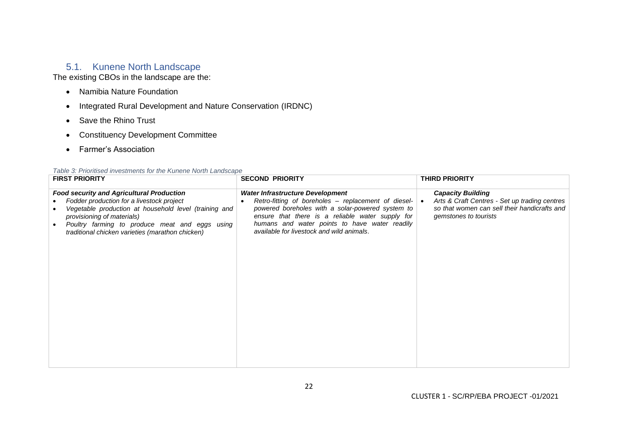# 5.1. Kunene North Landscape

The existing CBOs in the landscape are the:

- Namibia Nature Foundation
- Integrated Rural Development and Nature Conservation (IRDNC)
- Save the Rhino Trust
- Constituency Development Committee
- Farmer's Association

| Table 3: Prioritised investments for the Kunene North Landscape |  |
|-----------------------------------------------------------------|--|
|-----------------------------------------------------------------|--|

<span id="page-27-1"></span><span id="page-27-0"></span>

| <b>FIRST PRIORITY</b>                                                                                                                                                                                                                                                                      | <b>SECOND PRIORITY</b>                                                                                                                                                                                                                                                                                         | <b>THIRD PRIORITY</b>                                                                                                                              |
|--------------------------------------------------------------------------------------------------------------------------------------------------------------------------------------------------------------------------------------------------------------------------------------------|----------------------------------------------------------------------------------------------------------------------------------------------------------------------------------------------------------------------------------------------------------------------------------------------------------------|----------------------------------------------------------------------------------------------------------------------------------------------------|
| <b>Food security and Agricultural Production</b><br>Fodder production for a livestock project<br>Vegetable production at household level (training and<br>provisioning of materials)<br>Poultry farming to produce meat and eggs using<br>traditional chicken varieties (marathon chicken) | <b>Water Infrastructure Development</b><br>Retro-fitting of boreholes – replacement of diesel- $\bullet$<br>powered boreholes with a solar-powered system to<br>ensure that there is a reliable water supply for<br>humans and water points to have water readily<br>available for livestock and wild animals. | <b>Capacity Building</b><br>Arts & Craft Centres - Set up trading centres<br>so that women can sell their handicrafts and<br>gemstones to tourists |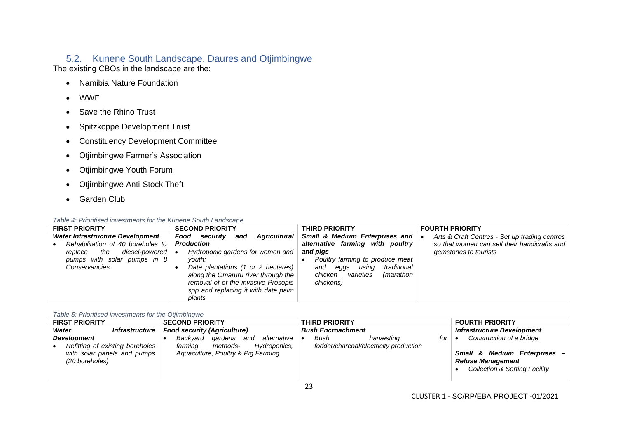# 5.2. Kunene South Landscape, Daures and Otjimbingwe

The existing CBOs in the landscape are the:

- Namibia Nature Foundation
- WWF
- Save the Rhino Trust
- Spitzkoppe Development Trust
- Constituency Development Committee
- Otjimbingwe Farmer's Association
- Otjimbingwe Youth Forum
- Otjimbingwe Anti-Stock Theft
- Garden Club

#### *Table 4: Prioritised investments for the Kunene South Landscape*

<span id="page-28-0"></span>

| <b>FIRST PRIORITY</b>                          | <b>SECOND PRIORITY</b> |                      |     |                                                                                                                                                         | <b>THIRD PRIORITY</b>                                                                 |  | <b>FOURTH PRIORITY</b>                        |  |
|------------------------------------------------|------------------------|----------------------|-----|---------------------------------------------------------------------------------------------------------------------------------------------------------|---------------------------------------------------------------------------------------|--|-----------------------------------------------|--|
| Water Infrastructure Development               |                        | <b>Food</b> security | and | Agricultural                                                                                                                                            | Small & Medium Enterprises and   •                                                    |  | Arts & Craft Centres - Set up trading centres |  |
| Rehabilitation of 40 boreholes to              | <b>Production</b>      |                      |     |                                                                                                                                                         | alternative farming with poultry                                                      |  | so that women can sell their handicrafts and  |  |
| diesel-powered $  \bullet  $<br>the<br>replace |                        |                      |     | Hydroponic gardens for women and                                                                                                                        | and pigs                                                                              |  | gemstones to tourists                         |  |
| pumps with solar pumps in 8                    |                        | vouth:               |     |                                                                                                                                                         | Poultry farming to produce meat                                                       |  |                                               |  |
| Conservancies                                  |                        | plants               |     | Date plantations (1 or 2 hectares)<br>along the Omaruru river through the<br>removal of of the invasive Prosopis<br>spp and replacing it with date palm | traditional<br>usina<br>eggs<br>and<br>varieties<br>chicken<br>(marathon<br>chickens) |  |                                               |  |

#### *Table 5: Prioritised investments for the Otjimbingwe*

<span id="page-28-2"></span><span id="page-28-1"></span>

| <b>FIRST PRIORITY</b>                                                                                  | <b>SECOND PRIORITY</b>                                                                                                 | <b>THIRD PRIORITY</b>                                               | <b>FOURTH PRIORITY</b>                                                                                                                        |  |
|--------------------------------------------------------------------------------------------------------|------------------------------------------------------------------------------------------------------------------------|---------------------------------------------------------------------|-----------------------------------------------------------------------------------------------------------------------------------------------|--|
| Water<br><i>Infrastructure</i>                                                                         | <b>Food security (Agriculture)</b>                                                                                     | <b>Bush Encroachment</b>                                            | <b>Infrastructure Development</b>                                                                                                             |  |
| <b>Development</b><br>Refitting of existing boreholes<br>with solar panels and pumps<br>(20 boreholes) | qardens<br>alternative<br>Backvard<br>and<br>Hydroponics,<br>methods-<br>farming<br>Aquaculture, Poultry & Pig Farming | for<br>Bush<br>harvesting<br>fodder/charcoal/electricity production | Construction of a bridge<br>$\bullet$<br>Small & Medium Enterprises -<br><b>Refuse Management</b><br><b>Collection &amp; Sorting Facility</b> |  |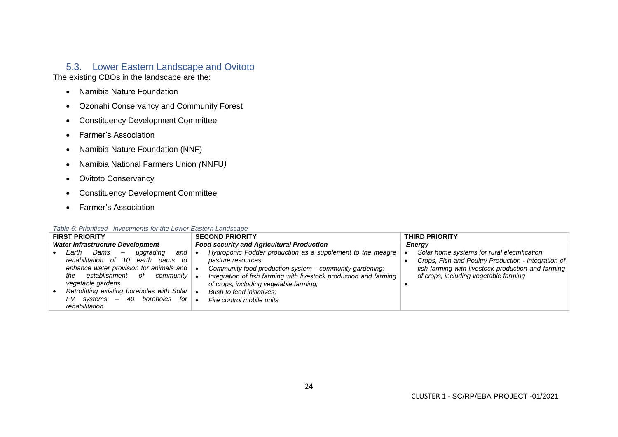# 5.3. Lower Eastern Landscape and Ovitoto

The existing CBOs in the landscape are the:

- Namibia Nature Foundation
- Ozonahi Conservancy and Community Forest
- Constituency Development Committee
- Farmer's Association
- Namibia Nature Foundation (NNF)
- Namibia National Farmers Union *(*NNFU*)*
- Ovitoto Conservancy
- Constituency Development Committee
- Farmer's Association

<span id="page-29-1"></span><span id="page-29-0"></span>

|                                         | <b>FIRST PRIORITY</b>                                                |           | <b>SECOND PRIORITY</b>                                            |  | <b>THIRD PRIORITY</b>                               |
|-----------------------------------------|----------------------------------------------------------------------|-----------|-------------------------------------------------------------------|--|-----------------------------------------------------|
| <b>Water Infrastructure Development</b> |                                                                      |           | <b>Food security and Agricultural Production</b>                  |  | Energy                                              |
|                                         | Earth<br>Dams<br>and<br>upqradinq<br>$\hspace{0.1mm}-\hspace{0.1mm}$ |           | Hydroponic Fodder production as a supplement to the meagre        |  | Solar home systems for rural electrification        |
|                                         | rehabilitation of 10<br>earth<br>dams to                             |           | pasture resources                                                 |  | Crops, Fish and Poultry Production - integration of |
|                                         | enhance water provision for animals and                              |           | Community food production system – community gardening:           |  | fish farming with livestock production and farming  |
|                                         | establishment<br>0f<br>community  <br>the                            |           | Integration of fish farming with livestock production and farming |  | of crops, including vegetable farming               |
|                                         | vegetable gardens                                                    |           | of crops, including vegetable farming;                            |  |                                                     |
|                                         | Retrofitting existing boreholes with Solar $\bullet$                 |           | Bush to feed initiatives:                                         |  |                                                     |
|                                         | $PV$ systems $-$ 40 boreholes for                                    | $\bullet$ | Fire control mobile units                                         |  |                                                     |
|                                         | rehabilitation                                                       |           |                                                                   |  |                                                     |

#### *Table 6: Prioritised investments for the Lower Eastern Landscape*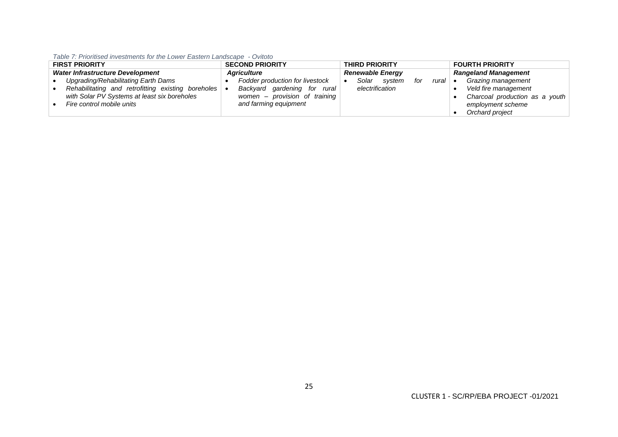*Table 7: Prioritised investments for the Lower Eastern Landscape - Ovitoto*

<span id="page-30-0"></span>

| <b>FIRST PRIORITY</b>            |                                                              | <b>SECOND PRIORITY</b> |                                 | <b>THIRD PRIORITY</b>   |                 |              |     | <b>FOURTH PRIORITY</b>      |  |                                |
|----------------------------------|--------------------------------------------------------------|------------------------|---------------------------------|-------------------------|-----------------|--------------|-----|-----------------------------|--|--------------------------------|
| Water Infrastructure Development |                                                              | <b>Aariculture</b>     |                                 | <b>Renewable Energy</b> |                 |              |     | <b>Rangeland Management</b> |  |                                |
|                                  | Upgrading/Rehabilitating Earth Dams                          |                        | Fodder production for livestock |                         |                 | Solar system | for | rural $\bullet$             |  | Grazing management             |
|                                  | Rehabilitating and retrofitting existing boreholes $\bullet$ |                        | Backyard gardening for rural    |                         | electrification |              |     |                             |  | Veld fire management           |
|                                  | with Solar PV Systems at least six boreholes                 |                        | women – provision of training   |                         |                 |              |     |                             |  | Charcoal production as a youth |
|                                  | Fire control mobile units                                    |                        | and farming equipment           |                         |                 |              |     |                             |  | employment scheme              |
|                                  |                                                              |                        |                                 |                         |                 |              |     |                             |  | Orchard project                |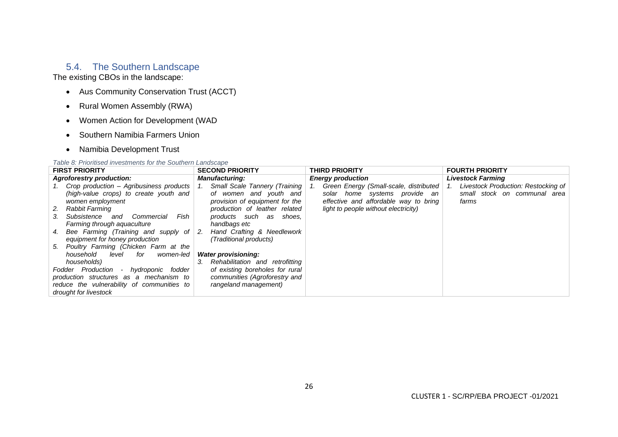# 5.4. The Southern Landscape

The existing CBOs in the landscape:

- Aus Community Conservation Trust (ACCT)
- Rural Women Assembly (RWA)
- Women Action for Development (WAD
- Southern Namibia Farmers Union
- Namibia Development Trust

#### *Table 8: Prioritised investments for the Southern Landscape*

<span id="page-31-1"></span><span id="page-31-0"></span>

| <b>FIRST PRIORITY</b>                                                                                                                                                                                                                                                                                                                 | <b>SECOND PRIORITY</b>                                                                                                                                                                                                                                               | <b>THIRD PRIORITY</b>                                                                                                                                    | <b>FOURTH PRIORITY</b>                                                              |  |  |
|---------------------------------------------------------------------------------------------------------------------------------------------------------------------------------------------------------------------------------------------------------------------------------------------------------------------------------------|----------------------------------------------------------------------------------------------------------------------------------------------------------------------------------------------------------------------------------------------------------------------|----------------------------------------------------------------------------------------------------------------------------------------------------------|-------------------------------------------------------------------------------------|--|--|
| <b>Agroforestry production:</b>                                                                                                                                                                                                                                                                                                       | <b>Manufacturing:</b>                                                                                                                                                                                                                                                | <b>Energy production</b>                                                                                                                                 | <b>Livestock Farming</b>                                                            |  |  |
| 1. Crop production – Agribusiness products<br>(high-value crops) to create youth and<br>women employment<br>Rabbit Farming<br>2.<br>Fish<br>Commercial<br>Subsistence and<br>3.<br>Farming through aquaculture<br>4. Bee Farming (Training and supply of<br>equipment for honey production<br>5. Poultry Farming (Chicken Farm at the | <b>Small Scale Tannery (Training  </b><br>$\vert$ 1.<br>of women and youth and<br>provision of equipment for the<br>production of leather related<br>products such as shoes,<br>handbags etc<br>Hand Crafting & Needlework<br>$\cdot$ + 2.<br>(Traditional products) | Green Energy (Small-scale, distributed<br>solar home systems provide an<br>effective and affordable way to bring<br>light to people without electricity) | Livestock Production: Restocking of<br>-1.<br>small stock on communal area<br>farms |  |  |
| household<br>level<br>for<br>women-led<br>households)<br>- hydroponic fodder<br>Fodder Production<br>production structures as a mechanism to<br>reduce the vulnerability of communities to<br>drought for livestock                                                                                                                   | <b>Water provisioning:</b><br>Rehabilitation and retrofitting<br>3.<br>of existing boreholes for rural<br>communities (Agroforestry and<br>rangeland management)                                                                                                     |                                                                                                                                                          |                                                                                     |  |  |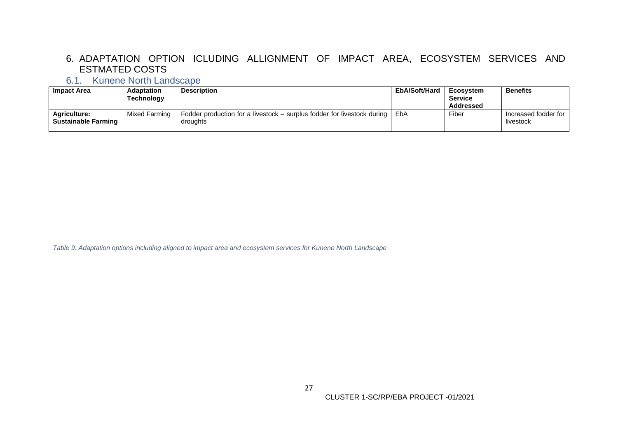# 6. ADAPTATION OPTION ICLUDING ALLIGNMENT OF IMPACT AREA, ECOSYSTEM SERVICES AND ESTMATED COSTS

# 6.1. Kunene North Landscape

| Impact Area                | <b>Adaptation</b> | <b>Description</b>                                                      | EbA/Soft/Hard | Ecosvstem      | <b>Benefits</b>        |
|----------------------------|-------------------|-------------------------------------------------------------------------|---------------|----------------|------------------------|
|                            | Technology        |                                                                         |               | <b>Service</b> |                        |
|                            |                   |                                                                         |               | Addressed      |                        |
| <b>Agriculture:</b>        | Mixed Farming     | Fodder production for a livestock – surplus fodder for livestock during | EbA           | Fiber          | Increased fodder for I |
| <b>Sustainable Farming</b> |                   | droughts                                                                |               |                | livestock              |
|                            |                   |                                                                         |               |                |                        |

<span id="page-32-2"></span><span id="page-32-1"></span><span id="page-32-0"></span>*Table 9: Adaptation options including aligned to impact area and ecosystem services for Kunene North Landscape*

CLUSTER 1-SC/RP/EBA PROJECT -01/2021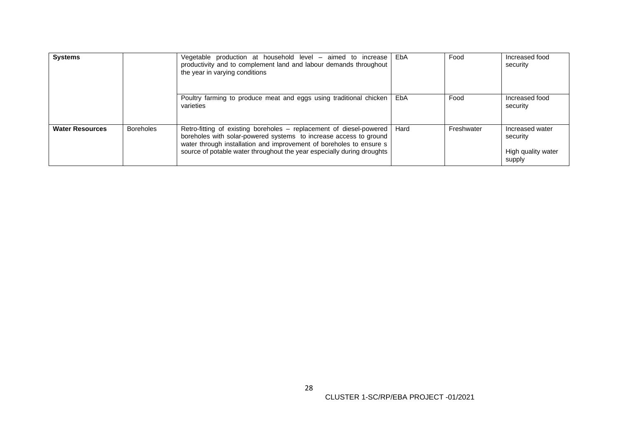| <b>Systems</b>         |                  | Vegetable production at household level – aimed to increase<br>productivity and to complement land and labour demands throughout<br>the year in varying conditions                                                                                                                        | EbA  | Food       | Increased food<br>security                                  |
|------------------------|------------------|-------------------------------------------------------------------------------------------------------------------------------------------------------------------------------------------------------------------------------------------------------------------------------------------|------|------------|-------------------------------------------------------------|
|                        |                  | Poultry farming to produce meat and eggs using traditional chicken<br>varieties                                                                                                                                                                                                           | EbA  | Food       | Increased food<br>security                                  |
| <b>Water Resources</b> | <b>Boreholes</b> | Retro-fitting of existing boreholes - replacement of diesel-powered<br>boreholes with solar-powered systems to increase access to ground<br>water through installation and improvement of boreholes to ensure s<br>source of potable water throughout the year especially during droughts | Hard | Freshwater | Increased water<br>security<br>High quality water<br>supply |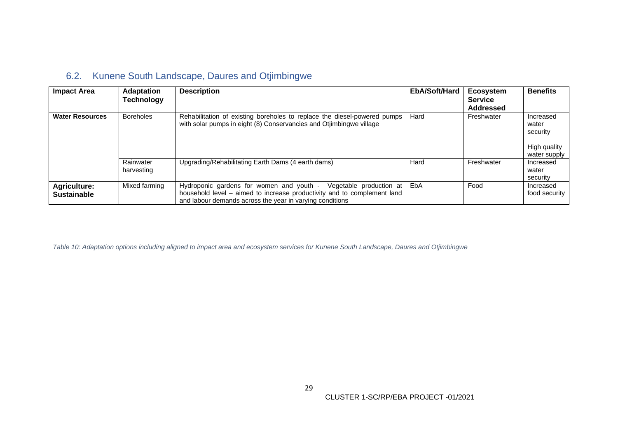# 6.2. Kunene South Landscape, Daures and Otjimbingwe

| <b>Impact Area</b>                        | <b>Adaptation</b><br>Technology | <b>Description</b>                                                                                                                                                                                         | EbA/Soft/Hard | Ecosystem<br><b>Service</b><br><b>Addressed</b> | <b>Benefits</b>                                                |
|-------------------------------------------|---------------------------------|------------------------------------------------------------------------------------------------------------------------------------------------------------------------------------------------------------|---------------|-------------------------------------------------|----------------------------------------------------------------|
| <b>Water Resources</b>                    | <b>Boreholes</b>                | Rehabilitation of existing boreholes to replace the diesel-powered pumps<br>with solar pumps in eight (8) Conservancies and Otjimbingwe village                                                            | Hard          | Freshwater                                      | Increased<br>water<br>security<br>High quality<br>water supply |
|                                           | Rainwater<br>harvesting         | Upgrading/Rehabilitating Earth Dams (4 earth dams)                                                                                                                                                         | Hard          | Freshwater                                      | Increased<br>water<br>security                                 |
| <b>Agriculture:</b><br><b>Sustainable</b> | Mixed farming                   | Hydroponic gardens for women and youth -<br>Vegetable production at<br>household level – aimed to increase productivity and to complement land<br>and labour demands across the year in varying conditions | EbA           | Food                                            | Increased<br>food security                                     |

<span id="page-34-1"></span><span id="page-34-0"></span>*Table 10: Adaptation options including aligned to impact area and ecosystem services for Kunene South Landscape, Daures and Otjimbingwe*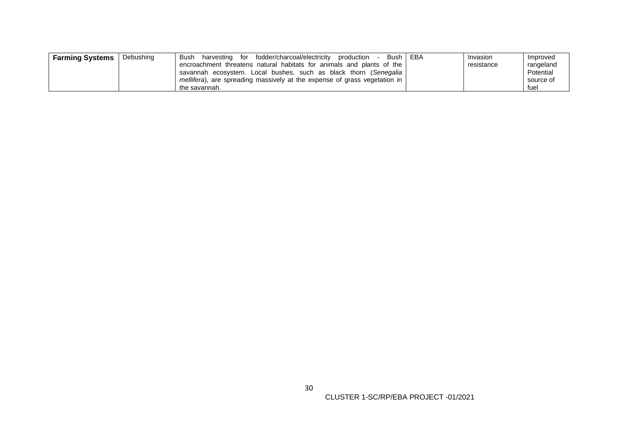| <b>Farming Systems</b> | Debushing | fodder/charcoal/electricity<br>production<br>Bush<br>harvesting for<br>Bush l | EBA | Invasion   | Improved  |
|------------------------|-----------|-------------------------------------------------------------------------------|-----|------------|-----------|
|                        |           | encroachment threatens natural habitats for animals and plants of the         |     | resistance | rangeland |
|                        |           | savannah ecosystem. Local bushes, such as black thorn (Senegalia)             |     |            | Potential |
|                        |           | mellifera), are spreading massively at the expense of grass vegetation in     |     |            | source of |
|                        |           | the savannah.                                                                 |     |            | fuel      |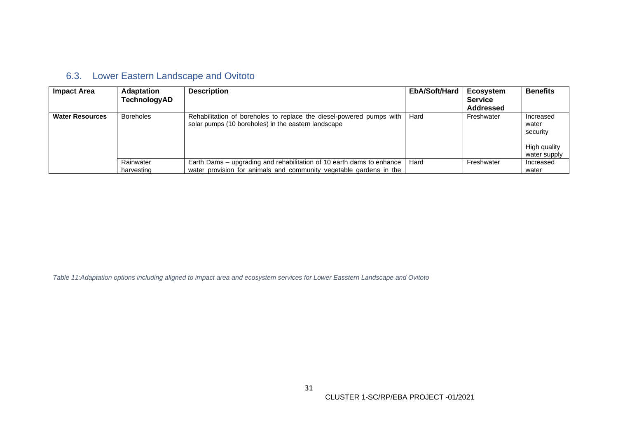| 6.3. Lower Eastern Landscape and Ovitoto |
|------------------------------------------|
|------------------------------------------|

| <b>Impact Area</b>     | <b>Adaptation</b><br>TechnologyAD | <b>Description</b>                                                                                                                          | EbA/Soft/Hard | <b>Ecosystem</b><br><b>Service</b><br>Addressed | <b>Benefits</b>                                                |
|------------------------|-----------------------------------|---------------------------------------------------------------------------------------------------------------------------------------------|---------------|-------------------------------------------------|----------------------------------------------------------------|
| <b>Water Resources</b> | <b>Boreholes</b>                  | Rehabilitation of boreholes to replace the diesel-powered pumps with<br>solar pumps (10 boreholes) in the eastern landscape                 | Hard          | Freshwater                                      | Increased<br>water<br>security<br>High quality<br>water supply |
|                        | Rainwater<br>harvesting           | Earth Dams – upgrading and rehabilitation of 10 earth dams to enhance<br>water provision for animals and community vegetable gardens in the | Hard          | Freshwater                                      | Increased<br>water                                             |

<span id="page-36-1"></span><span id="page-36-0"></span>*Table 11:Adaptation options including aligned to impact area and ecosystem services for Lower Easstern Landscape and Ovitoto*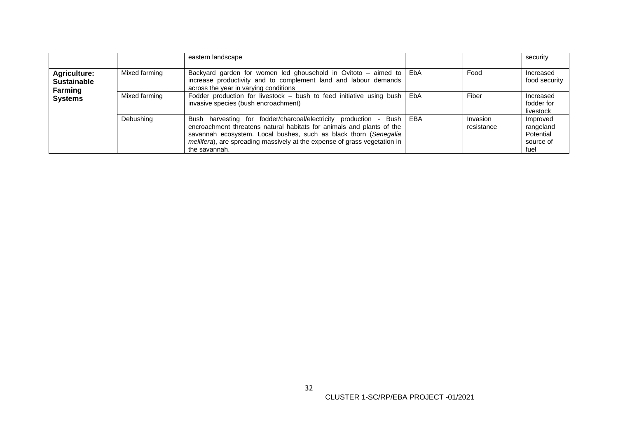|                                                                        |               | eastern landscape                                                                                                                                                                                                                                                                                                  |                        | security                                                |
|------------------------------------------------------------------------|---------------|--------------------------------------------------------------------------------------------------------------------------------------------------------------------------------------------------------------------------------------------------------------------------------------------------------------------|------------------------|---------------------------------------------------------|
| Agriculture:<br><b>Sustainable</b><br><b>Farming</b><br><b>Systems</b> | Mixed farming | Backyard garden for women led ghousehold in Ovitoto – aimed to $\vert$ EbA<br>increase productivity and to complement land and labour demands<br>across the year in varying conditions                                                                                                                             | Food                   | Increased<br>food security                              |
|                                                                        | Mixed farming | Fodder production for livestock $-$ bush to feed initiative using bush $ $ EbA<br>invasive species (bush encroachment)                                                                                                                                                                                             | Fiber                  | Increased<br>fodder for<br>livestock                    |
|                                                                        | Debushing     | Bush harvesting for fodder/charcoal/electricity production - Bush   EBA<br>encroachment threatens natural habitats for animals and plants of the<br>savannah ecosystem. Local bushes, such as black thorn (Senegalia<br>mellifera), are spreading massively at the expense of grass vegetation in<br>the savannah. | Invasion<br>resistance | Improved<br>rangeland<br>Potential<br>source of<br>fuel |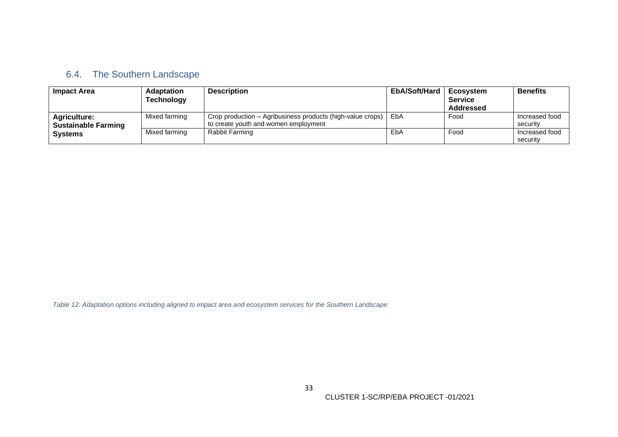# 6.4. The Southern Landscape

| Impact Area                                       | <b>Adaptation</b><br><b>Technology</b> | <b>Description</b>                                                                                 | EbA/Soft/Hard | <b>Ecosystem</b><br><b>Service</b><br>Addressed | <b>Benefits</b>            |
|---------------------------------------------------|----------------------------------------|----------------------------------------------------------------------------------------------------|---------------|-------------------------------------------------|----------------------------|
| <b>Agriculture:</b><br><b>Sustainable Farming</b> | Mixed farming                          | Crop production - Agribusiness products (high-value crops)<br>to create youth and women employment | EbA           | Food                                            | Increased food<br>securitv |
| <b>Systems</b>                                    | Mixed farming                          | Rabbit Farming                                                                                     | EbA           | Food                                            | Increased food<br>security |

<span id="page-38-1"></span><span id="page-38-0"></span>*Table 12: Adaptation options including aligned to impact area and ecosystem services for the Southern Landscape*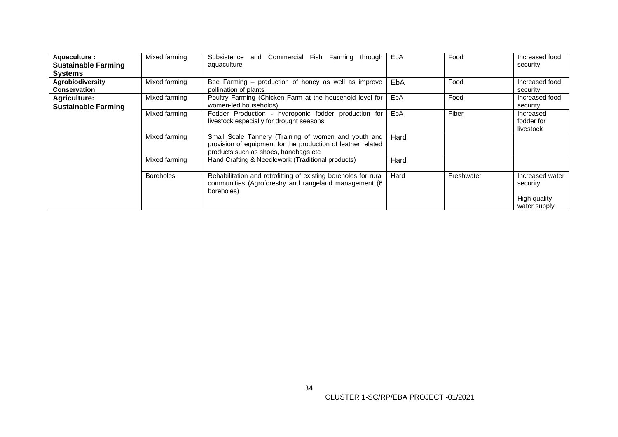| Aquaculture :<br><b>Sustainable Farming</b><br><b>Systems</b> | Mixed farming    | and Commercial Fish Farming<br>Subsistence<br>through<br>aquaculture                                                                                         | EbA  | Food       | Increased food<br>security                                  |
|---------------------------------------------------------------|------------------|--------------------------------------------------------------------------------------------------------------------------------------------------------------|------|------------|-------------------------------------------------------------|
| Agrobiodiversity<br><b>Conservation</b>                       | Mixed farming    | Bee Farming - production of honey as well as improve<br>pollination of plants                                                                                | EbA  | Food       | Increased food<br>security                                  |
| <b>Agriculture:</b><br><b>Sustainable Farming</b>             | Mixed farming    | Poultry Farming (Chicken Farm at the household level for<br>women-led households)                                                                            | EbA  | Food       | Increased food<br>security                                  |
|                                                               | Mixed farming    | Fodder Production - hydroponic fodder production for<br>livestock especially for drought seasons                                                             | EbA  | Fiber      | Increased<br>fodder for<br>livestock                        |
|                                                               | Mixed farming    | Small Scale Tannery (Training of women and youth and<br>provision of equipment for the production of leather related<br>products such as shoes, handbags etc | Hard |            |                                                             |
|                                                               | Mixed farming    | Hand Crafting & Needlework (Traditional products)                                                                                                            | Hard |            |                                                             |
|                                                               | <b>Boreholes</b> | Rehabilitation and retrofitting of existing boreholes for rural<br>communities (Agroforestry and rangeland management (6<br>boreholes)                       | Hard | Freshwater | Increased water<br>security<br>High quality<br>water supply |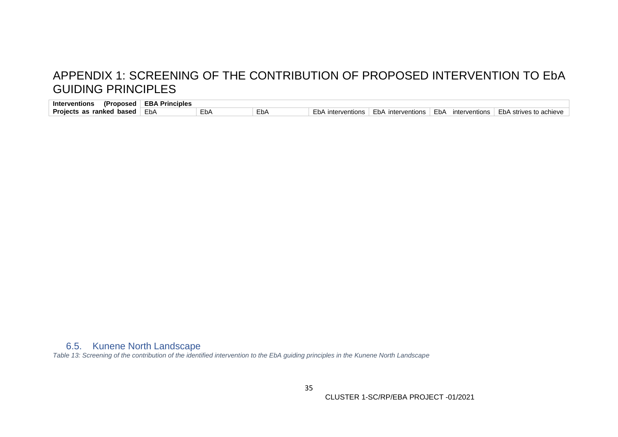# APPENDIX 1: SCREENING OF THE CONTRIBUTION OF PROPOSED INTERVENTION TO EbA GUIDING PRINCIPLES

| (Proposed<br><b>Interventions</b>  | EBA<br>∖ Principles |     |            |                      |                      |                       |                             |
|------------------------------------|---------------------|-----|------------|----------------------|----------------------|-----------------------|-----------------------------|
| <b>Projects as ranked</b><br>based | EbA                 | EbA | $-$<br>EÞA | FbA<br>interventions | EbA<br>interventions | EbA.<br>interventions | ⊢bA<br>\ strives to achieve |

# <span id="page-40-0"></span>6.5. Kunene North Landscape

<span id="page-40-2"></span><span id="page-40-1"></span>*Table 13: Screening of the contribution of the identified intervention to the EbA guiding principles in the Kunene North Landscape*

CLUSTER 1-SC/RP/EBA PROJECT -01/2021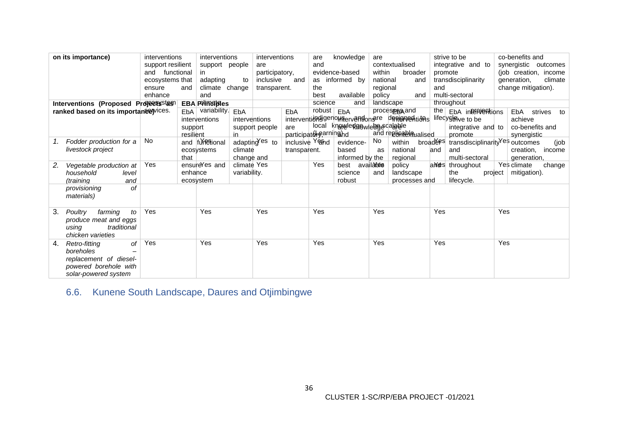| on its importance)                     | interventions     |           | interventions         |               | interventions  |                                   | are     | knowledge                     | are        |                                                 |          | strive to be                                |         | co-benefits and       |               |
|----------------------------------------|-------------------|-----------|-----------------------|---------------|----------------|-----------------------------------|---------|-------------------------------|------------|-------------------------------------------------|----------|---------------------------------------------|---------|-----------------------|---------------|
|                                        | support resilient |           | support people        |               | are            |                                   | and     |                               |            | contextualised                                  |          | integrative and to                          |         | synergistic outcomes  |               |
|                                        | and functional    |           | in.                   |               | participatory, |                                   |         | evidence-based                | within     | broader                                         |          | promote                                     |         | (job creation, income |               |
|                                        | ecosystems that   |           | adapting              | to            | inclusive      | and                               |         | as informed by                | national   | and                                             |          | transdisciplinarity                         |         | generation,           | climate       |
|                                        | ensure            | and       | climate change        |               | transparent.   |                                   | the     |                               | regional   |                                                 | and      |                                             |         | change mitigation).   |               |
|                                        | enhance           |           | and                   |               |                |                                   | best    | available                     | policy     | and                                             |          | multi-sectoral                              |         |                       |               |
|                                        |                   |           |                       |               |                |                                   | science | and                           |            | landscape                                       |          | throughout                                  |         |                       |               |
| Interventions (Proposed Projects stas) |                   |           | <b>EBA Principles</b> |               |                |                                   |         |                               |            |                                                 |          |                                             |         |                       |               |
| ranked based on its importanee wices.  |                   | EbA       | variability.          | EbA           |                | EbA                               | robust  | EbA                           |            | process <sub>B</sub> gand                       |          | the EbA interpretations                     |         | EbA                   | strives<br>to |
|                                        |                   |           | interventions         | interventions |                |                                   |         |                               |            | interventions genouservandon are designed tions |          | lifedy§ <del>l</del> ave to be              |         | achieve               |               |
|                                        |                   | support   |                       |               | support people | are                               |         | local knoweledgewiedgecalable |            |                                                 |          | integrative and to                          |         | co-benefits and       |               |
|                                        |                   | resilient |                       | in            |                | participatorearning <sub>hd</sub> |         |                               |            | and replicable ualised                          |          | promote                                     |         | synergistic           |               |
| Fodder production for a                | No.               |           | and furestional       |               | adapting es to | inclusive Yeand                   |         | evidence-                     | No.        | within                                          | broadees | transdisciplinarity <sup>Yes</sup> outcomes |         |                       | (job          |
| livestock project                      |                   |           | ecosystems            | climate       |                | transparent.                      |         | based                         | as         | national                                        | land     | and                                         |         | creation,             | income        |
|                                        |                   | that      |                       | change and    |                |                                   |         | informed by the               |            | regional                                        |          | multi-sectoral                              |         | generation,           |               |
| Vegetable production at<br>2.          | Yes               |           | ensureYes and         | climate Yes   |                |                                   | Yes     | best                          | availa⁄ide | policy                                          |          | and sthroughout                             |         | Yes climate           | change        |
| household<br>level                     |                   | enhance   |                       | variability.  |                |                                   |         | science                       | and        | landscape                                       |          | the                                         | project | mitigation).          |               |
| (training<br>and                       |                   |           | ecosystem             |               |                |                                   |         | robust                        |            | processes and                                   |          | lifecycle.                                  |         |                       |               |
| of<br>provisioning                     |                   |           |                       |               |                |                                   |         |                               |            |                                                 |          |                                             |         |                       |               |
| materials)                             |                   |           |                       |               |                |                                   |         |                               |            |                                                 |          |                                             |         |                       |               |
|                                        |                   |           |                       |               |                |                                   |         |                               |            |                                                 |          |                                             |         |                       |               |
|                                        | Yes               |           | Yes                   |               | Yes            |                                   | Yes     |                               | Yes        |                                                 | Yes      |                                             | Yes     |                       |               |
| 3.<br>to<br>Poultry<br>farming         |                   |           |                       |               |                |                                   |         |                               |            |                                                 |          |                                             |         |                       |               |
| produce meat and eggs                  |                   |           |                       |               |                |                                   |         |                               |            |                                                 |          |                                             |         |                       |               |
| traditional<br>using                   |                   |           |                       |               |                |                                   |         |                               |            |                                                 |          |                                             |         |                       |               |
| chicken varieties                      |                   |           |                       |               |                |                                   |         |                               |            |                                                 |          |                                             |         |                       |               |
| of<br>Retro-fitting<br>4.              | Yes               |           | Yes                   |               | Yes            |                                   | Yes     |                               | Yes        |                                                 | Yes      |                                             | Yes     |                       |               |
| boreholes                              |                   |           |                       |               |                |                                   |         |                               |            |                                                 |          |                                             |         |                       |               |
| replacement of diesel-                 |                   |           |                       |               |                |                                   |         |                               |            |                                                 |          |                                             |         |                       |               |
| powered borehole with                  |                   |           |                       |               |                |                                   |         |                               |            |                                                 |          |                                             |         |                       |               |
| solar-powered system                   |                   |           |                       |               |                |                                   |         |                               |            |                                                 |          |                                             |         |                       |               |

<span id="page-41-0"></span>6.6. Kunene South Landscape, Daures and Otjimbingwe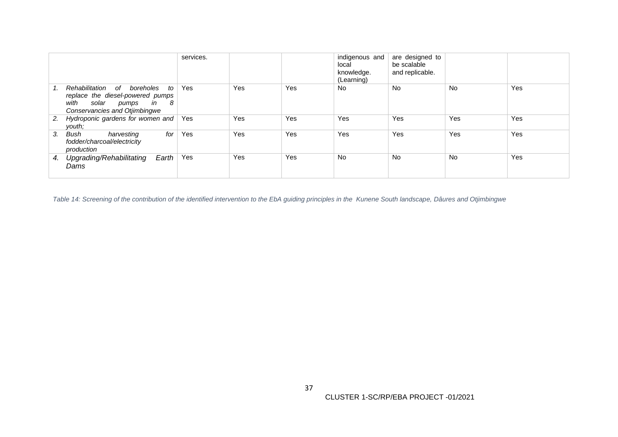|    |                                                                                                                                                  | services. |     |     | indigenous and<br>local<br>knowledge.<br>(Learning) | are designed to<br>be scalable<br>and replicable. |     |     |
|----|--------------------------------------------------------------------------------------------------------------------------------------------------|-----------|-----|-----|-----------------------------------------------------|---------------------------------------------------|-----|-----|
|    | Rehabilitation<br>of<br>boreholes<br>to<br>replace the diesel-powered pumps<br>solar pumps<br>with<br>in<br>- 8<br>Conservancies and Otjimbingwe | Yes       | Yes | Yes | No                                                  | <b>No</b>                                         | No  | Yes |
| 2. | Hydroponic gardens for women and<br>vouth:                                                                                                       | Yes       | Yes | Yes | Yes                                                 | Yes                                               | Yes | Yes |
| 3. | for<br>Bush<br>harvesting<br>fodder/charcoal/electricity<br>production                                                                           | Yes       | Yes | Yes | Yes                                                 | Yes                                               | Yes | Yes |
| 4. | Upgrading/Rehabilitating<br>Earth<br>Dams                                                                                                        | Yes       | Yes | Yes | No                                                  | <b>No</b>                                         | No  | Yes |

<span id="page-42-0"></span>*Table 14: Screening of the contribution of the identified intervention to the EbA guiding principles in the Kunene South landscape, Dâures and Otjimbingwe*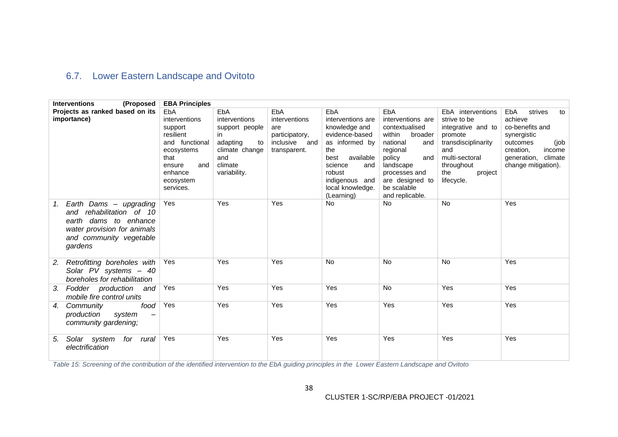# 6.7. Lower Eastern Landscape and Ovitoto

| <b>Interventions</b><br>(Proposed                                                                                                                         | <b>EBA Principles</b>                                                                                                                      |                                                                                                                     |                                                                                |                                                                                                                                                                                           |                                                                                                                                                                                                    |                                                                                                                                                                  |                                                                                                                                                                   |
|-----------------------------------------------------------------------------------------------------------------------------------------------------------|--------------------------------------------------------------------------------------------------------------------------------------------|---------------------------------------------------------------------------------------------------------------------|--------------------------------------------------------------------------------|-------------------------------------------------------------------------------------------------------------------------------------------------------------------------------------------|----------------------------------------------------------------------------------------------------------------------------------------------------------------------------------------------------|------------------------------------------------------------------------------------------------------------------------------------------------------------------|-------------------------------------------------------------------------------------------------------------------------------------------------------------------|
| Projects as ranked based on its<br>importance)                                                                                                            | EbA<br>interventions<br>support<br>resilient<br>and functional<br>ecosystems<br>that<br>ensure<br>and<br>enhance<br>ecosystem<br>services. | EbA<br>interventions<br>support people<br>in.<br>adapting<br>to<br>climate change<br>and<br>climate<br>variability. | EbA<br>interventions<br>are<br>participatory,<br>inclusive and<br>transparent. | EbA<br>interventions are<br>knowledge and<br>evidence-based<br>as informed by<br>the<br>available<br>best<br>science<br>and<br>robust<br>indigenous and<br>local knowledge.<br>(Learning) | EbA<br>interventions are<br>contextualised<br>within<br>broader<br>national<br>and<br>regional<br>policy<br>and<br>landscape<br>processes and<br>are designed to<br>be scalable<br>and replicable. | EbA interventions<br>strive to be<br>integrative and to<br>promote<br>transdisciplinarity<br>and<br>multi-sectoral<br>throughout<br>the<br>project<br>lifecycle. | strives<br><b>EbA</b><br>to<br>achieve<br>co-benefits and<br>synergistic<br>outcomes<br>(job<br>creation,<br>income<br>generation, climate<br>change mitigation). |
| Earth Dams - upgrading<br>1.<br>rehabilitation of 10<br>and<br>earth dams to enhance<br>water provision for animals<br>and community vegetable<br>gardens | Yes                                                                                                                                        | Yes                                                                                                                 | Yes                                                                            | No                                                                                                                                                                                        | <b>No</b>                                                                                                                                                                                          | No                                                                                                                                                               | Yes                                                                                                                                                               |
| Retrofitting boreholes with<br>2.<br>Solar PV systems - 40<br>boreholes for rehabilitation                                                                | Yes                                                                                                                                        | Yes                                                                                                                 | Yes                                                                            | <b>No</b>                                                                                                                                                                                 | <b>No</b>                                                                                                                                                                                          | <b>No</b>                                                                                                                                                        | Yes                                                                                                                                                               |
| Fodder production<br>and<br>3.<br>mobile fire control units                                                                                               | Yes                                                                                                                                        | Yes                                                                                                                 | Yes                                                                            | Yes                                                                                                                                                                                       | <b>No</b>                                                                                                                                                                                          | Yes                                                                                                                                                              | Yes                                                                                                                                                               |
| Community<br>food<br>4.<br>production<br>system<br>community gardening;                                                                                   | Yes                                                                                                                                        | Yes                                                                                                                 | Yes                                                                            | Yes                                                                                                                                                                                       | Yes                                                                                                                                                                                                | Yes                                                                                                                                                              | Yes                                                                                                                                                               |
| Solar system<br>for rural<br>5.<br>electrification                                                                                                        | Yes                                                                                                                                        | Yes                                                                                                                 | Yes                                                                            | Yes                                                                                                                                                                                       | Yes                                                                                                                                                                                                | Yes                                                                                                                                                              | Yes                                                                                                                                                               |

<span id="page-43-1"></span><span id="page-43-0"></span>*Table 15: Screening of the contribution of the identified intervention to the EbA guiding principles in the Lower Eastern Landscape and Ovitoto*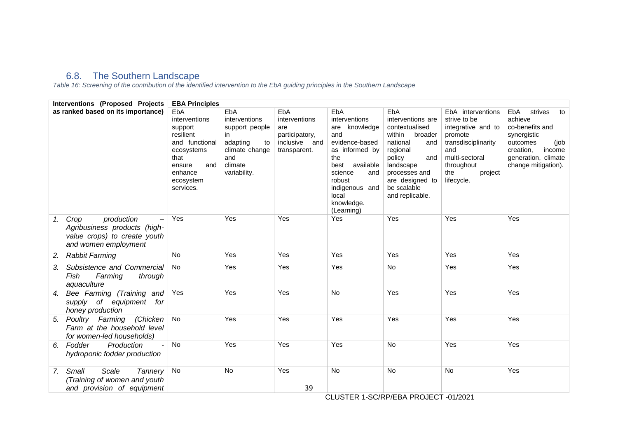# 6.8. The Southern Landscape

*Table 16: Screening of the contribution of the identified intervention to the EbA guiding principles in the Southern Landscape*

<span id="page-44-1"></span><span id="page-44-0"></span>

| Interventions (Proposed Projects                                                                                 | <b>EBA Principles</b>                                                                                                                      |                                                                                                                    |                                                                                |                                                                                                                                                                                                    |                                                                                                                                                                                                    |                                                                                                                                                                  |                                                                                                                                                                   |
|------------------------------------------------------------------------------------------------------------------|--------------------------------------------------------------------------------------------------------------------------------------------|--------------------------------------------------------------------------------------------------------------------|--------------------------------------------------------------------------------|----------------------------------------------------------------------------------------------------------------------------------------------------------------------------------------------------|----------------------------------------------------------------------------------------------------------------------------------------------------------------------------------------------------|------------------------------------------------------------------------------------------------------------------------------------------------------------------|-------------------------------------------------------------------------------------------------------------------------------------------------------------------|
| as ranked based on its importance)                                                                               | EbA<br>interventions<br>support<br>resilient<br>and functional<br>ecosystems<br>that<br>ensure<br>and<br>enhance<br>ecosystem<br>services. | EbA<br>interventions<br>support people<br>in<br>adapting<br>to<br>climate change<br>and<br>climate<br>variability. | EbA<br>interventions<br>are<br>participatory,<br>inclusive and<br>transparent. | EbA<br>interventions<br>knowledge<br>are<br>and<br>evidence-based<br>as informed by<br>the<br>available<br>best<br>science<br>and<br>robust<br>indigenous and<br>local<br>knowledge.<br>(Learning) | EbA<br>interventions are<br>contextualised<br>within<br>broader<br>national<br>and<br>regional<br>policy<br>and<br>landscape<br>processes and<br>are designed to<br>be scalable<br>and replicable. | EbA interventions<br>strive to be<br>integrative and to<br>promote<br>transdisciplinarity<br>and<br>multi-sectoral<br>throughout<br>the<br>project<br>lifecycle. | strives<br><b>EbA</b><br>to<br>achieve<br>co-benefits and<br>synergistic<br>outcomes<br>(job<br>creation,<br>income<br>generation, climate<br>change mitigation). |
| Crop<br>production<br>1.<br>Agribusiness products (high-<br>value crops) to create youth<br>and women employment | Yes                                                                                                                                        | Yes                                                                                                                | Yes                                                                            | Yes                                                                                                                                                                                                | Yes                                                                                                                                                                                                | Yes                                                                                                                                                              | Yes                                                                                                                                                               |
| <b>Rabbit Farming</b><br>2.                                                                                      | No                                                                                                                                         | Yes                                                                                                                | Yes                                                                            | Yes                                                                                                                                                                                                | Yes                                                                                                                                                                                                | Yes                                                                                                                                                              | Yes                                                                                                                                                               |
| Subsistence and Commercial<br>3.<br>Fish<br>Farming<br>through<br>aquaculture                                    | No                                                                                                                                         | Yes                                                                                                                | Yes                                                                            | Yes                                                                                                                                                                                                | No                                                                                                                                                                                                 | Yes                                                                                                                                                              | Yes                                                                                                                                                               |
| Bee Farming (Training and<br>4.<br>supply of equipment<br>for<br>honey production                                | Yes                                                                                                                                        | Yes                                                                                                                | Yes                                                                            | No                                                                                                                                                                                                 | Yes                                                                                                                                                                                                | Yes                                                                                                                                                              | Yes                                                                                                                                                               |
| Poultry Farming<br>(Chicken<br>5.<br>Farm at the household level<br>for women-led households)                    | No                                                                                                                                         | Yes                                                                                                                | Yes                                                                            | Yes                                                                                                                                                                                                | Yes                                                                                                                                                                                                | Yes                                                                                                                                                              | Yes                                                                                                                                                               |
| Fodder<br>Production<br>6.<br>hydroponic fodder production                                                       | No                                                                                                                                         | Yes                                                                                                                | Yes                                                                            | Yes                                                                                                                                                                                                | No                                                                                                                                                                                                 | Yes                                                                                                                                                              | Yes                                                                                                                                                               |
| Small<br>Scale<br>Tannery<br>7.<br>(Training of women and youth<br>and provision of equipment                    | No                                                                                                                                         | No                                                                                                                 | Yes<br>39                                                                      | No                                                                                                                                                                                                 | No                                                                                                                                                                                                 | No                                                                                                                                                               | Yes                                                                                                                                                               |

CLUSTER 1-SC/RP/EBA PROJECT -01/2021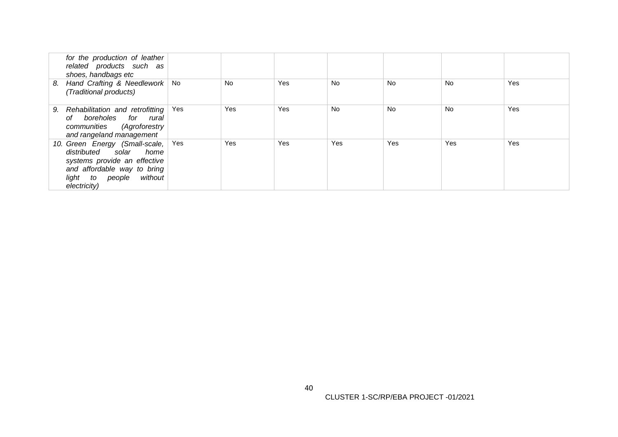| for the production of leather<br>related products such as<br>shoes, handbags etc                                                                                      |     |     |     |     |     |     |     |
|-----------------------------------------------------------------------------------------------------------------------------------------------------------------------|-----|-----|-----|-----|-----|-----|-----|
| Hand Crafting & Needlework<br>8.<br>(Traditional products)                                                                                                            | No  | No  | Yes | No  | No  | No  | Yes |
| Rehabilitation and retrofitting<br>9.<br>of boreholes for rural<br>communities (Agroforestry<br>and rangeland management                                              | Yes | Yes | Yes | No  | No  | No  | Yes |
| 10. Green Energy (Small-scale,<br>distributed solar home<br>systems provide an effective<br>and affordable way to bring<br>without<br>light to people<br>electricity) | Yes | Yes | Yes | Yes | Yes | Yes | Yes |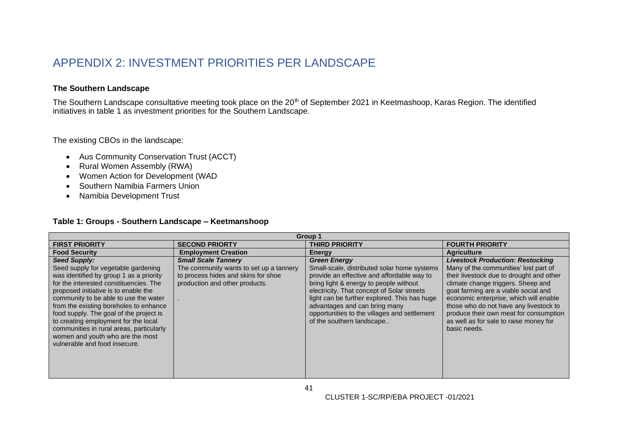# APPENDIX 2: INVESTMENT PRIORITIES PER LANDSCAPE

# **The Southern Landscape**

The Southern Landscape consultative meeting took place on the 20<sup>th</sup> of September 2021 in Keetmashoop, Karas Region. The identified initiatives in table 1 as investment priorities for the Southern Landscape.

The existing CBOs in the landscape:

- Aus Community Conservation Trust (ACCT)
- Rural Women Assembly (RWA)
- Women Action for Development (WAD
- Southern Namibia Farmers Union
- Namibia Development Trust

### **Table 1: Groups - Southern Landscape – Keetmanshoop**

<span id="page-46-0"></span>

| <b>FIRST PRIORITY</b><br><b>SECOND PRIORTY</b>                                                                                                                                                                                                                                                                                                                                                                                                                                                                                                                                                                                                          | <b>THIRD PRIORITY</b>                                                                                                                                                                                                                                                                                                                           |                                                                                                                                                                                                                                                                                                                                                                                                    |
|---------------------------------------------------------------------------------------------------------------------------------------------------------------------------------------------------------------------------------------------------------------------------------------------------------------------------------------------------------------------------------------------------------------------------------------------------------------------------------------------------------------------------------------------------------------------------------------------------------------------------------------------------------|-------------------------------------------------------------------------------------------------------------------------------------------------------------------------------------------------------------------------------------------------------------------------------------------------------------------------------------------------|----------------------------------------------------------------------------------------------------------------------------------------------------------------------------------------------------------------------------------------------------------------------------------------------------------------------------------------------------------------------------------------------------|
|                                                                                                                                                                                                                                                                                                                                                                                                                                                                                                                                                                                                                                                         |                                                                                                                                                                                                                                                                                                                                                 | <b>FOURTH PRIORITY</b>                                                                                                                                                                                                                                                                                                                                                                             |
| <b>Food Security</b><br><b>Employment Creation</b><br>Energy                                                                                                                                                                                                                                                                                                                                                                                                                                                                                                                                                                                            |                                                                                                                                                                                                                                                                                                                                                 | <b>Agriculture</b>                                                                                                                                                                                                                                                                                                                                                                                 |
| <b>Seed Supply:</b><br><b>Small Scale Tannery</b><br><b>Green Energy</b><br>The community wants to set up a tannery<br>Seed supply for vegetable gardening<br>was identified by group 1 as a priority<br>to process hides and skins for shoe<br>production and other products.<br>for the interested constituencies. The<br>proposed initiative is to enable the<br>community to be able to use the water<br>from the existing boreholes to enhance<br>food supply. The goal of the project is<br>to creating employment for the local<br>communities in rural areas, particularly<br>women and youth who are the most<br>vulnerable and food insecure. | Small-scale, distributed solar home systems<br>provide an effective and affordable way to<br>bring light & energy to people without<br>electricity. That concept of Solar streets<br>light can be further explored. This has huge<br>advantages and can bring many<br>opportunities to the villages and settlement<br>of the southern landscape | <b>Livestock Production: Restocking</b><br>Many of the communities' lost part of<br>their livestock due to drought and other<br>climate change triggers. Sheep and<br>goat farming are a viable social and<br>economic enterprise, which will enable<br>those who do not have any livestock to<br>produce their own meat for consumption<br>as well as for sale to raise money for<br>basic needs. |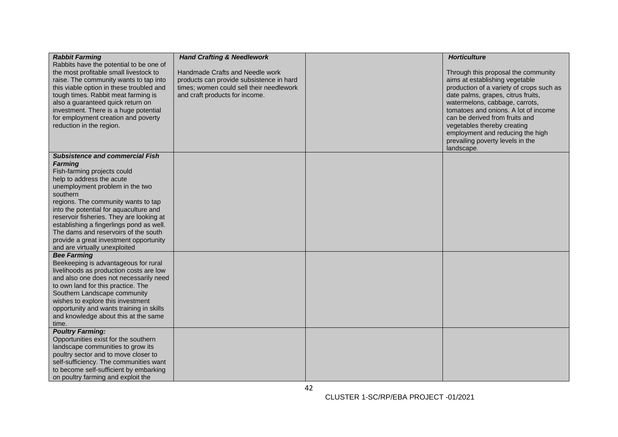| <b>Rabbit Farming</b>                                                            | <b>Hand Crafting &amp; Needlework</b>    | <b>Horticulture</b>                      |
|----------------------------------------------------------------------------------|------------------------------------------|------------------------------------------|
| Rabbits have the potential to be one of                                          |                                          |                                          |
| the most profitable small livestock to                                           | Handmade Crafts and Needle work          | Through this proposal the community      |
| raise. The community wants to tap into                                           | products can provide subsistence in hard | aims at establishing vegetable           |
| this viable option in these troubled and                                         | times; women could sell their needlework | production of a variety of crops such as |
| tough times. Rabbit meat farming is                                              | and craft products for income.           | date palms, grapes, citrus fruits,       |
| also a guaranteed quick return on                                                |                                          | watermelons, cabbage, carrots,           |
| investment. There is a huge potential                                            |                                          | tomatoes and onions. A lot of income     |
| for employment creation and poverty                                              |                                          | can be derived from fruits and           |
| reduction in the region.                                                         |                                          | vegetables thereby creating              |
|                                                                                  |                                          | employment and reducing the high         |
|                                                                                  |                                          | prevailing poverty levels in the         |
|                                                                                  |                                          | landscape.                               |
| <b>Subsistence and commercial Fish</b>                                           |                                          |                                          |
| <b>Farming</b>                                                                   |                                          |                                          |
| Fish-farming projects could                                                      |                                          |                                          |
| help to address the acute                                                        |                                          |                                          |
| unemployment problem in the two                                                  |                                          |                                          |
| southern                                                                         |                                          |                                          |
| regions. The community wants to tap                                              |                                          |                                          |
| into the potential for aquaculture and                                           |                                          |                                          |
| reservoir fisheries. They are looking at                                         |                                          |                                          |
| establishing a fingerlings pond as well.<br>The dams and reservoirs of the south |                                          |                                          |
| provide a great investment opportunity                                           |                                          |                                          |
| and are virtually unexploited                                                    |                                          |                                          |
| <b>Bee Farming</b>                                                               |                                          |                                          |
| Beekeeping is advantageous for rural                                             |                                          |                                          |
| livelihoods as production costs are low                                          |                                          |                                          |
| and also one does not necessarily need                                           |                                          |                                          |
| to own land for this practice. The                                               |                                          |                                          |
| Southern Landscape community                                                     |                                          |                                          |
| wishes to explore this investment                                                |                                          |                                          |
| opportunity and wants training in skills                                         |                                          |                                          |
| and knowledge about this at the same                                             |                                          |                                          |
| time.                                                                            |                                          |                                          |
| <b>Poultry Farming:</b>                                                          |                                          |                                          |
| Opportunities exist for the southern                                             |                                          |                                          |
| landscape communities to grow its                                                |                                          |                                          |
| poultry sector and to move closer to                                             |                                          |                                          |
| self-sufficiency. The communities want                                           |                                          |                                          |
| to become self-sufficient by embarking                                           |                                          |                                          |
| on poultry farming and exploit the                                               |                                          |                                          |

42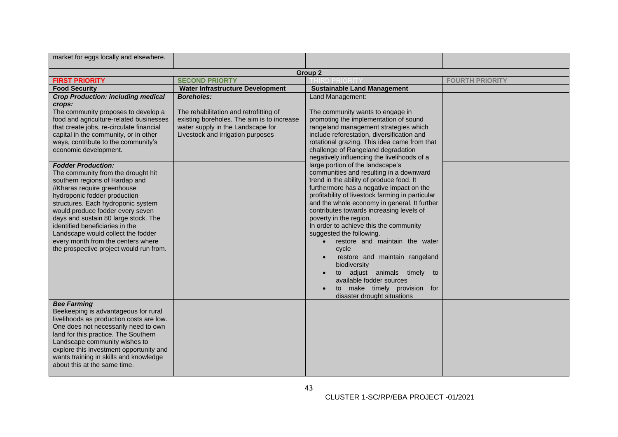| market for eggs locally and elsewhere.                                                                                                                                                                                                                                                                                                                                                                                                       |                                                                                                           |                                                                                                                                                                                                                                                                                                                                                                                                                                                                                                                                                                                                                                               |                        |
|----------------------------------------------------------------------------------------------------------------------------------------------------------------------------------------------------------------------------------------------------------------------------------------------------------------------------------------------------------------------------------------------------------------------------------------------|-----------------------------------------------------------------------------------------------------------|-----------------------------------------------------------------------------------------------------------------------------------------------------------------------------------------------------------------------------------------------------------------------------------------------------------------------------------------------------------------------------------------------------------------------------------------------------------------------------------------------------------------------------------------------------------------------------------------------------------------------------------------------|------------------------|
|                                                                                                                                                                                                                                                                                                                                                                                                                                              |                                                                                                           | Group 2                                                                                                                                                                                                                                                                                                                                                                                                                                                                                                                                                                                                                                       |                        |
| <b>FIRST PRIORITY</b>                                                                                                                                                                                                                                                                                                                                                                                                                        | <b>SECOND PRIORTY</b>                                                                                     | <b>THIRD PRIORIT</b>                                                                                                                                                                                                                                                                                                                                                                                                                                                                                                                                                                                                                          | <b>FOURTH PRIORITY</b> |
| <b>Food Security</b>                                                                                                                                                                                                                                                                                                                                                                                                                         | <b>Water Infrastructure Development</b>                                                                   | <b>Sustainable Land Management</b>                                                                                                                                                                                                                                                                                                                                                                                                                                                                                                                                                                                                            |                        |
| <b>Crop Production: including medical</b><br>crops:<br>The community proposes to develop a<br>food and agriculture-related businesses                                                                                                                                                                                                                                                                                                        | <b>Boreholes:</b><br>The rehabilitation and retrofitting of<br>existing boreholes. The aim is to increase | Land Management:<br>The community wants to engage in<br>promoting the implementation of sound                                                                                                                                                                                                                                                                                                                                                                                                                                                                                                                                                 |                        |
| that create jobs, re-circulate financial<br>capital in the community, or in other<br>ways, contribute to the community's<br>economic development.                                                                                                                                                                                                                                                                                            | water supply in the Landscape for<br>Livestock and irrigation purposes                                    | rangeland management strategies which<br>include reforestation, diversification and<br>rotational grazing. This idea came from that<br>challenge of Rangeland degradation<br>negatively influencing the livelihoods of a                                                                                                                                                                                                                                                                                                                                                                                                                      |                        |
| <b>Fodder Production:</b><br>The community from the drought hit<br>southern regions of Hardap and<br>//Kharas require greenhouse<br>hydroponic fodder production<br>structures. Each hydroponic system<br>would produce fodder every seven<br>days and sustain 80 large stock. The<br>identified beneficiaries in the<br>Landscape would collect the fodder<br>every month from the centers where<br>the prospective project would run from. |                                                                                                           | large portion of the landscape's<br>communities and resulting in a downward<br>trend in the ability of produce food. It<br>furthermore has a negative impact on the<br>profitability of livestock farming in particular<br>and the whole economy in general. It further<br>contributes towards increasing levels of<br>poverty in the region.<br>In order to achieve this the community<br>suggested the following.<br>restore and maintain the water<br>cycle<br>restore and maintain rangeland<br>biodiversity<br>to adjust animals timely<br>to<br>available fodder sources<br>to make timely provision for<br>disaster drought situations |                        |
| <b>Bee Farming</b><br>Beekeeping is advantageous for rural<br>livelihoods as production costs are low.<br>One does not necessarily need to own<br>land for this practice. The Southern<br>Landscape community wishes to<br>explore this investment opportunity and<br>wants training in skills and knowledge<br>about this at the same time.                                                                                                 |                                                                                                           |                                                                                                                                                                                                                                                                                                                                                                                                                                                                                                                                                                                                                                               |                        |

43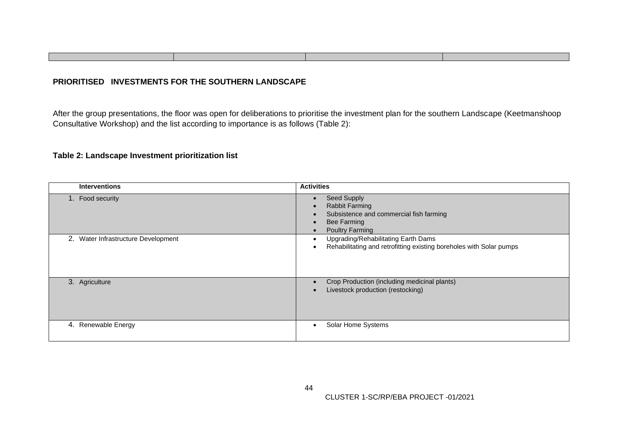# **PRIORITISED INVESTMENTS FOR THE SOUTHERN LANDSCAPE**

After the group presentations, the floor was open for deliberations to prioritise the investment plan for the southern Landscape (Keetmanshoop Consultative Workshop) and the list according to importance is as follows (Table 2):

# **Table 2: Landscape Investment prioritization list**

| <b>Interventions</b>                | <b>Activities</b>                                                                                                        |
|-------------------------------------|--------------------------------------------------------------------------------------------------------------------------|
| 1. Food security                    | Seed Supply<br><b>Rabbit Farming</b><br>Subsistence and commercial fish farming<br><b>Bee Farming</b><br>Poultry Farming |
| 2. Water Infrastructure Development | Upgrading/Rehabilitating Earth Dams<br>Rehabilitating and retrofitting existing boreholes with Solar pumps               |
| 3. Agriculture                      | Crop Production (including medicinal plants)<br>Livestock production (restocking)                                        |
| 4. Renewable Energy                 | Solar Home Systems                                                                                                       |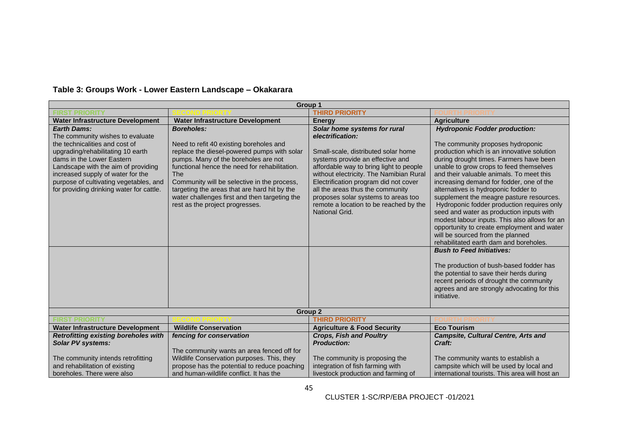|                                                                                                                                                                                                                                                                                                                              |                                                                                                                                                                                                                                                                                                                                                                                                       | Group 1                                                                                                                                                                                                                                                                                                                                                                                           |                                                                                                                                                                                                                                                                                                                                                                                                                                                                                                                                                                                                                                                                                                                                                                                                                                                                                                      |
|------------------------------------------------------------------------------------------------------------------------------------------------------------------------------------------------------------------------------------------------------------------------------------------------------------------------------|-------------------------------------------------------------------------------------------------------------------------------------------------------------------------------------------------------------------------------------------------------------------------------------------------------------------------------------------------------------------------------------------------------|---------------------------------------------------------------------------------------------------------------------------------------------------------------------------------------------------------------------------------------------------------------------------------------------------------------------------------------------------------------------------------------------------|------------------------------------------------------------------------------------------------------------------------------------------------------------------------------------------------------------------------------------------------------------------------------------------------------------------------------------------------------------------------------------------------------------------------------------------------------------------------------------------------------------------------------------------------------------------------------------------------------------------------------------------------------------------------------------------------------------------------------------------------------------------------------------------------------------------------------------------------------------------------------------------------------|
|                                                                                                                                                                                                                                                                                                                              |                                                                                                                                                                                                                                                                                                                                                                                                       | <b>THIRD PRIORITY</b>                                                                                                                                                                                                                                                                                                                                                                             |                                                                                                                                                                                                                                                                                                                                                                                                                                                                                                                                                                                                                                                                                                                                                                                                                                                                                                      |
| <b>Water Infrastructure Development</b>                                                                                                                                                                                                                                                                                      | <b>Water Infrastructure Development</b>                                                                                                                                                                                                                                                                                                                                                               | Energy                                                                                                                                                                                                                                                                                                                                                                                            | <b>Agriculture</b>                                                                                                                                                                                                                                                                                                                                                                                                                                                                                                                                                                                                                                                                                                                                                                                                                                                                                   |
| <b>Earth Dams:</b><br>The community wishes to evaluate<br>the technicalities and cost of<br>upgrading/rehabilitating 10 earth<br>dams in the Lower Eastern<br>Landscape with the aim of providing<br>increased supply of water for the<br>purpose of cultivating vegetables, and<br>for providing drinking water for cattle. | <b>Boreholes:</b><br>Need to refit 40 existing boreholes and<br>replace the diesel-powered pumps with solar<br>pumps. Many of the boreholes are not<br>functional hence the need for rehabilitation.<br><b>The</b><br>Community will be selective in the process,<br>targeting the areas that are hard hit by the<br>water challenges first and then targeting the<br>rest as the project progresses. | Solar home systems for rural<br>electrification:<br>Small-scale, distributed solar home<br>systems provide an effective and<br>affordable way to bring light to people<br>without electricity. The Namibian Rural<br>Electrification program did not cover<br>all the areas thus the community<br>proposes solar systems to areas too<br>remote a location to be reached by the<br>National Grid. | <b>Hydroponic Fodder production:</b><br>The community proposes hydroponic<br>production which is an innovative solution<br>during drought times. Farmers have been<br>unable to grow crops to feed themselves<br>and their valuable animals. To meet this<br>increasing demand for fodder, one of the<br>alternatives is hydroponic fodder to<br>supplement the meagre pasture resources.<br>Hydroponic fodder production requires only<br>seed and water as production inputs with<br>modest labour inputs. This also allows for an<br>opportunity to create employment and water<br>will be sourced from the planned<br>rehabilitated earth dam and boreholes.<br><b>Bush to Feed Initiatives:</b><br>The production of bush-based fodder has<br>the potential to save their herds during<br>recent periods of drought the community<br>agrees and are strongly advocating for this<br>initiative. |
|                                                                                                                                                                                                                                                                                                                              |                                                                                                                                                                                                                                                                                                                                                                                                       | Group 2                                                                                                                                                                                                                                                                                                                                                                                           |                                                                                                                                                                                                                                                                                                                                                                                                                                                                                                                                                                                                                                                                                                                                                                                                                                                                                                      |
| <b>FIRST PRIORITY</b>                                                                                                                                                                                                                                                                                                        |                                                                                                                                                                                                                                                                                                                                                                                                       | <b>THIRD PRIORITY</b>                                                                                                                                                                                                                                                                                                                                                                             |                                                                                                                                                                                                                                                                                                                                                                                                                                                                                                                                                                                                                                                                                                                                                                                                                                                                                                      |
| <b>Water Infrastructure Development</b>                                                                                                                                                                                                                                                                                      | <b>Wildlife Conservation</b>                                                                                                                                                                                                                                                                                                                                                                          | <b>Agriculture &amp; Food Security</b>                                                                                                                                                                                                                                                                                                                                                            | <b>Eco Tourism</b>                                                                                                                                                                                                                                                                                                                                                                                                                                                                                                                                                                                                                                                                                                                                                                                                                                                                                   |
| <b>Retrofitting existing boreholes with</b><br><b>Solar PV systems:</b>                                                                                                                                                                                                                                                      | fencing for conservation<br>The community wants an area fenced off for                                                                                                                                                                                                                                                                                                                                | <b>Crops, Fish and Poultry</b><br><b>Production:</b>                                                                                                                                                                                                                                                                                                                                              | <b>Campsite, Cultural Centre, Arts and</b><br>Craft:                                                                                                                                                                                                                                                                                                                                                                                                                                                                                                                                                                                                                                                                                                                                                                                                                                                 |
| The community intends retrofitting<br>and rehabilitation of existing<br>boreholes. There were also                                                                                                                                                                                                                           | Wildlife Conservation purposes. This, they<br>propose has the potential to reduce poaching<br>and human-wildlife conflict. It has the                                                                                                                                                                                                                                                                 | The community is proposing the<br>integration of fish farming with<br>livestock production and farming of                                                                                                                                                                                                                                                                                         | The community wants to establish a<br>campsite which will be used by local and<br>international tourists. This area will host an                                                                                                                                                                                                                                                                                                                                                                                                                                                                                                                                                                                                                                                                                                                                                                     |

# **Table 3: Groups Work - Lower Eastern Landscape – Okakarara**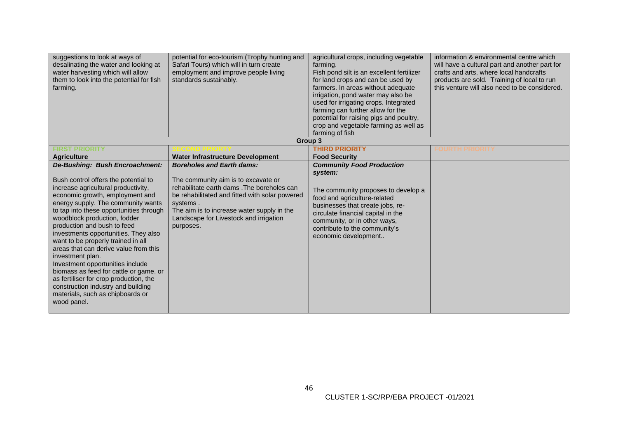| suggestions to look at ways of<br>desalinating the water and looking at<br>water harvesting which will allow<br>them to look into the potential for fish<br>farming.                                                                                                                                                                                                                                                                                                                                                                                                                                                                                         | potential for eco-tourism (Trophy hunting and<br>Safari Tours) which will in turn create<br>employment and improve people living<br>standards sustainably.                                                                                                                                | agricultural crops, including vegetable<br>farming.<br>Fish pond silt is an excellent fertilizer<br>for land crops and can be used by<br>farmers. In areas without adequate<br>irrigation, pond water may also be<br>used for irrigating crops. Integrated<br>farming can further allow for the<br>potential for raising pigs and poultry,<br>crop and vegetable farming as well as<br>farming of fish | information & environmental centre which<br>will have a cultural part and another part for<br>crafts and arts, where local handcrafts<br>products are sold. Training of local to run<br>this venture will also need to be considered. |
|--------------------------------------------------------------------------------------------------------------------------------------------------------------------------------------------------------------------------------------------------------------------------------------------------------------------------------------------------------------------------------------------------------------------------------------------------------------------------------------------------------------------------------------------------------------------------------------------------------------------------------------------------------------|-------------------------------------------------------------------------------------------------------------------------------------------------------------------------------------------------------------------------------------------------------------------------------------------|--------------------------------------------------------------------------------------------------------------------------------------------------------------------------------------------------------------------------------------------------------------------------------------------------------------------------------------------------------------------------------------------------------|---------------------------------------------------------------------------------------------------------------------------------------------------------------------------------------------------------------------------------------|
|                                                                                                                                                                                                                                                                                                                                                                                                                                                                                                                                                                                                                                                              |                                                                                                                                                                                                                                                                                           | Group 3                                                                                                                                                                                                                                                                                                                                                                                                |                                                                                                                                                                                                                                       |
| <b>FIRST PRIORITY</b>                                                                                                                                                                                                                                                                                                                                                                                                                                                                                                                                                                                                                                        |                                                                                                                                                                                                                                                                                           | <b>THIRD PRIORITY</b>                                                                                                                                                                                                                                                                                                                                                                                  |                                                                                                                                                                                                                                       |
| <b>Agriculture</b>                                                                                                                                                                                                                                                                                                                                                                                                                                                                                                                                                                                                                                           | <b>Water Infrastructure Development</b>                                                                                                                                                                                                                                                   | <b>Food Security</b>                                                                                                                                                                                                                                                                                                                                                                                   |                                                                                                                                                                                                                                       |
| De-Bushing: Bush Encroachment:<br>Bush control offers the potential to<br>increase agricultural productivity,<br>economic growth, employment and<br>energy supply. The community wants<br>to tap into these opportunities through<br>woodblock production, fodder<br>production and bush to feed<br>investments opportunities. They also<br>want to be properly trained in all<br>areas that can derive value from this<br>investment plan.<br>Investment opportunities include<br>biomass as feed for cattle or game, or<br>as fertiliser for crop production, the<br>construction industry and building<br>materials, such as chipboards or<br>wood panel. | <b>Boreholes and Earth dams:</b><br>The community aim is to excavate or<br>rehabilitate earth dams . The boreholes can<br>be rehabilitated and fitted with solar powered<br>systems.<br>The aim is to increase water supply in the<br>Landscape for Livestock and irrigation<br>purposes. | <b>Community Food Production</b><br>system:<br>The community proposes to develop a<br>food and agriculture-related<br>businesses that create jobs, re-<br>circulate financial capital in the<br>community, or in other ways,<br>contribute to the community's<br>economic development                                                                                                                  |                                                                                                                                                                                                                                       |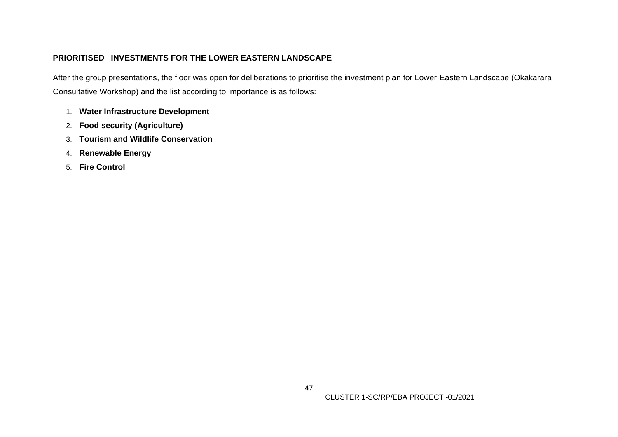# **PRIORITISED INVESTMENTS FOR THE LOWER EASTERN LANDSCAPE**

After the group presentations, the floor was open for deliberations to prioritise the investment plan for Lower Eastern Landscape (Okakarara Consultative Workshop) and the list according to importance is as follows:

- 1. **Water Infrastructure Development**
- 2. **Food security (Agriculture)**
- 3. **Tourism and Wildlife Conservation**
- 4. **Renewable Energy**
- 5. **Fire Control**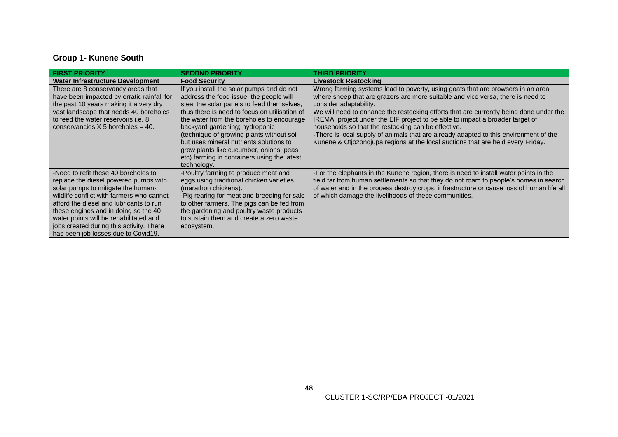# **Group 1- Kunene South**

| <b>FIRST PRIORITY</b>                                                                                                                                                                                                                                                                                                                                                            | <b>SECOND PRIORITY</b>                                                                                                                                                                                                                                                                                                                                                                                                                                              | <b>THIRD PRIORITY</b>                                                                                                                                                                                                                                                                                                                                                                                                                                                                                                                                                                                     |
|----------------------------------------------------------------------------------------------------------------------------------------------------------------------------------------------------------------------------------------------------------------------------------------------------------------------------------------------------------------------------------|---------------------------------------------------------------------------------------------------------------------------------------------------------------------------------------------------------------------------------------------------------------------------------------------------------------------------------------------------------------------------------------------------------------------------------------------------------------------|-----------------------------------------------------------------------------------------------------------------------------------------------------------------------------------------------------------------------------------------------------------------------------------------------------------------------------------------------------------------------------------------------------------------------------------------------------------------------------------------------------------------------------------------------------------------------------------------------------------|
| <b>Water Infrastructure Development</b>                                                                                                                                                                                                                                                                                                                                          | <b>Food Security</b>                                                                                                                                                                                                                                                                                                                                                                                                                                                | <b>Livestock Restocking</b>                                                                                                                                                                                                                                                                                                                                                                                                                                                                                                                                                                               |
| There are 8 conservancy areas that<br>have been impacted by erratic rainfall for<br>the past 10 years making it a very dry<br>vast landscape that needs 40 boreholes<br>to feed the water reservoirs <i>i.e.</i> 8<br>conservancies $X$ 5 boreholes = 40.                                                                                                                        | If you install the solar pumps and do not<br>address the food issue, the people will<br>steal the solar panels to feed themselves,<br>thus there is need to focus on utilisation of<br>the water from the boreholes to encourage<br>backyard gardening; hydroponic<br>(technique of growing plants without soil<br>but uses mineral nutrients solutions to<br>grow plants like cucumber, onions, peas<br>etc) farming in containers using the latest<br>technology. | Wrong farming systems lead to poverty, using goats that are browsers in an area<br>where sheep that are grazers are more suitable and vice versa, there is need to<br>consider adaptability.<br>We will need to enhance the restocking efforts that are currently being done under the<br>IREMA project under the EIF project to be able to impact a broader target of<br>households so that the restocking can be effective.<br>-There is local supply of animals that are already adapted to this environment of the<br>Kunene & Otjozondjupa regions at the local auctions that are held every Friday. |
| -Need to refit these 40 boreholes to<br>replace the diesel powered pumps with<br>solar pumps to mitigate the human-<br>wildlife conflict with farmers who cannot<br>afford the diesel and lubricants to run<br>these engines and in doing so the 40<br>water points will be rehabilitated and<br>jobs created during this activity. There<br>has been job losses due to Covid19. | -Poultry farming to produce meat and<br>eggs using traditional chicken varieties<br>(marathon chickens).<br>-Pig rearing for meat and breeding for sale<br>to other farmers. The pigs can be fed from<br>the gardening and poultry waste products<br>to sustain them and create a zero waste<br>ecosystem.                                                                                                                                                          | -For the elephants in the Kunene region, there is need to install water points in the<br>field far from human settlements so that they do not roam to people's homes in search<br>of water and in the process destroy crops, infrastructure or cause loss of human life all<br>of which damage the livelihoods of these communities.                                                                                                                                                                                                                                                                      |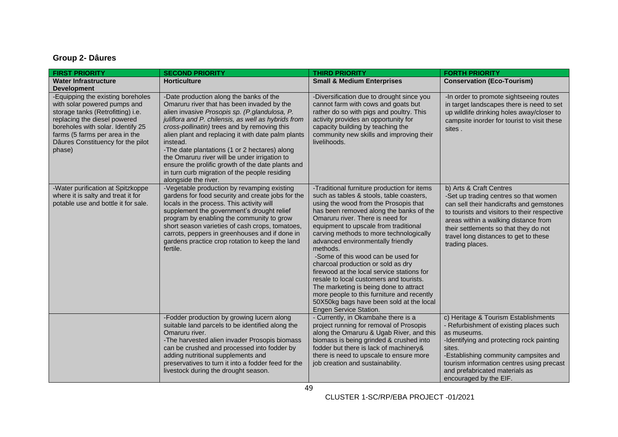# **Group 2- Dâures**

| <b>FIRST PRIORITY</b>                                                                                                                                                                                                                                        | <b>SECOND PRIORITY</b>                                                                                                                                                                                                                                                                                                                                                                                                                                                                                                                          | <b>THIRD PRIORITY</b>                                                                                                                                                                                                                                                                                                                                                                                                                                                                                                                                                                                                                                                                   | <b>FORTH PRIORITY</b>                                                                                                                                                                                                                                                                                     |
|--------------------------------------------------------------------------------------------------------------------------------------------------------------------------------------------------------------------------------------------------------------|-------------------------------------------------------------------------------------------------------------------------------------------------------------------------------------------------------------------------------------------------------------------------------------------------------------------------------------------------------------------------------------------------------------------------------------------------------------------------------------------------------------------------------------------------|-----------------------------------------------------------------------------------------------------------------------------------------------------------------------------------------------------------------------------------------------------------------------------------------------------------------------------------------------------------------------------------------------------------------------------------------------------------------------------------------------------------------------------------------------------------------------------------------------------------------------------------------------------------------------------------------|-----------------------------------------------------------------------------------------------------------------------------------------------------------------------------------------------------------------------------------------------------------------------------------------------------------|
| <b>Water Infrastructure</b><br><b>Development</b>                                                                                                                                                                                                            | <b>Horticulture</b>                                                                                                                                                                                                                                                                                                                                                                                                                                                                                                                             | <b>Small &amp; Medium Enterprises</b>                                                                                                                                                                                                                                                                                                                                                                                                                                                                                                                                                                                                                                                   | <b>Conservation (Eco-Tourism)</b>                                                                                                                                                                                                                                                                         |
| -Equipping the existing boreholes<br>with solar powered pumps and<br>storage tanks (Retrofitting) i.e.<br>replacing the diesel powered<br>boreholes with solar. Identify 25<br>farms (5 farms per area in the<br>Dâures Constituency for the pilot<br>phase) | -Date production along the banks of the<br>Omaruru river that has been invaded by the<br>alien invasive Prosopis sp. (P.glandulosa, P.<br>juliflora and P. chilensis, as well as hybrids from<br>cross-pollinatin) trees and by removing this<br>alien plant and replacing it with date palm plants<br>instead.<br>-The date plantations (1 or 2 hectares) along<br>the Omaruru river will be under irrigation to<br>ensure the prolific growth of the date plants and<br>in turn curb migration of the people residing<br>alongside the river. | -Diversification due to drought since you<br>cannot farm with cows and goats but<br>rather do so with pigs and poultry. This<br>activity provides an opportunity for<br>capacity building by teaching the<br>community new skills and improving their<br>livelihoods.                                                                                                                                                                                                                                                                                                                                                                                                                   | -In order to promote sightseeing routes<br>in target landscapes there is need to set<br>up wildlife drinking holes away/closer to<br>campsite inorder for tourist to visit these<br>sites.                                                                                                                |
| -Water purification at Spitzkoppe<br>where it is salty and treat it for<br>potable use and bottle it for sale.                                                                                                                                               | -Vegetable production by revamping existing<br>gardens for food security and create jobs for the<br>locals in the process. This activity will<br>supplement the government's drought relief<br>program by enabling the community to grow<br>short season varieties of cash crops, tomatoes,<br>carrots, peppers in greenhouses and if done in<br>gardens practice crop rotation to keep the land<br>fertile.                                                                                                                                    | -Traditional furniture production for items<br>such as tables & stools, table coasters,<br>using the wood from the Prosopis that<br>has been removed along the banks of the<br>Omaruru river. There is need for<br>equipment to upscale from traditional<br>carving methods to more technologically<br>advanced environmentally friendly<br>methods.<br>-Some of this wood can be used for<br>charcoal production or sold as dry<br>firewood at the local service stations for<br>resale to local customers and tourists.<br>The marketing is being done to attract<br>more people to this furniture and recently<br>50X50kg bags have been sold at the local<br>Engen Service Station. | b) Arts & Craft Centres<br>-Set up trading centres so that women<br>can sell their handicrafts and gemstones<br>to tourists and visitors to their respective<br>areas within a walking distance from<br>their settlements so that they do not<br>travel long distances to get to these<br>trading places. |
|                                                                                                                                                                                                                                                              | -Fodder production by growing lucern along<br>suitable land parcels to be identified along the<br>Omaruru river.<br>-The harvested alien invader Prosopis biomass<br>can be crushed and processed into fodder by<br>adding nutritional supplements and<br>preservatives to turn it into a fodder feed for the<br>livestock during the drought season.                                                                                                                                                                                           | - Currently, in Okambahe there is a<br>project running for removal of Prosopis<br>along the Omaruru & Ugab River, and this<br>biomass is being grinded & crushed into<br>fodder but there is lack of machinery&<br>there is need to upscale to ensure more<br>job creation and sustainability.                                                                                                                                                                                                                                                                                                                                                                                          | c) Heritage & Tourism Establishments<br>- Refurbishment of existing places such<br>as museums.<br>-Identifying and protecting rock painting<br>sites.<br>-Establishing community campsites and<br>tourism information centres using precast<br>and prefabricated materials as<br>encouraged by the EIF.   |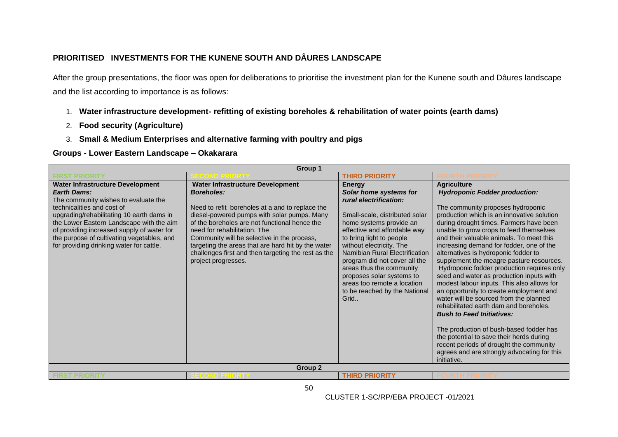# **PRIORITISED INVESTMENTS FOR THE KUNENE SOUTH AND DÂURES LANDSCAPE**

After the group presentations, the floor was open for deliberations to prioritise the investment plan for the Kunene south and Dâures landscape and the list according to importance is as follows:

- 1. **Water infrastructure development- refitting of existing boreholes & rehabilitation of water points (earth dams)**
- 2. **Food security (Agriculture)**
- 3. **Small & Medium Enterprises and alternative farming with poultry and pigs**

**Groups - Lower Eastern Landscape – Okakarara**

| Group 1                                                                                                                                                                                                                                                                                                                   |                                                                                                                                                                                                                                                                                                                                                                                         |                                                                                                                                                                                                                                                                                                                                                                                                           |                                                                                                                                                                                                                                                                                                                                                                                                                                                                                                                                                                                                                                                                  |
|---------------------------------------------------------------------------------------------------------------------------------------------------------------------------------------------------------------------------------------------------------------------------------------------------------------------------|-----------------------------------------------------------------------------------------------------------------------------------------------------------------------------------------------------------------------------------------------------------------------------------------------------------------------------------------------------------------------------------------|-----------------------------------------------------------------------------------------------------------------------------------------------------------------------------------------------------------------------------------------------------------------------------------------------------------------------------------------------------------------------------------------------------------|------------------------------------------------------------------------------------------------------------------------------------------------------------------------------------------------------------------------------------------------------------------------------------------------------------------------------------------------------------------------------------------------------------------------------------------------------------------------------------------------------------------------------------------------------------------------------------------------------------------------------------------------------------------|
|                                                                                                                                                                                                                                                                                                                           |                                                                                                                                                                                                                                                                                                                                                                                         | <b>THIRD PRIORITY</b>                                                                                                                                                                                                                                                                                                                                                                                     |                                                                                                                                                                                                                                                                                                                                                                                                                                                                                                                                                                                                                                                                  |
| Water Infrastructure Development                                                                                                                                                                                                                                                                                          | <b>Water Infrastructure Development</b>                                                                                                                                                                                                                                                                                                                                                 | <b>Energy</b>                                                                                                                                                                                                                                                                                                                                                                                             | <b>Agriculture</b>                                                                                                                                                                                                                                                                                                                                                                                                                                                                                                                                                                                                                                               |
| <b>Earth Dams:</b><br>The community wishes to evaluate the<br>technicalities and cost of<br>upgrading/rehabilitating 10 earth dams in<br>the Lower Eastern Landscape with the aim<br>of providing increased supply of water for<br>the purpose of cultivating vegetables, and<br>for providing drinking water for cattle. | <b>Boreholes:</b><br>Need to refit boreholes at a and to replace the<br>diesel-powered pumps with solar pumps. Many<br>of the boreholes are not functional hence the<br>need for rehabilitation. The<br>Community will be selective in the process,<br>targeting the areas that are hard hit by the water<br>challenges first and then targeting the rest as the<br>project progresses. | Solar home systems for<br>rural electrification:<br>Small-scale, distributed solar<br>home systems provide an<br>effective and affordable way<br>to bring light to people<br>without electricity. The<br>Namibian Rural Electrification<br>program did not cover all the<br>areas thus the community<br>proposes solar systems to<br>areas too remote a location<br>to be reached by the National<br>Grid | <b>Hydroponic Fodder production:</b><br>The community proposes hydroponic<br>production which is an innovative solution<br>during drought times. Farmers have been<br>unable to grow crops to feed themselves<br>and their valuable animals. To meet this<br>increasing demand for fodder, one of the<br>alternatives is hydroponic fodder to<br>supplement the meagre pasture resources.<br>Hydroponic fodder production requires only<br>seed and water as production inputs with<br>modest labour inputs. This also allows for<br>an opportunity to create employment and<br>water will be sourced from the planned<br>rehabilitated earth dam and boreholes. |
|                                                                                                                                                                                                                                                                                                                           | Group <sub>2</sub>                                                                                                                                                                                                                                                                                                                                                                      |                                                                                                                                                                                                                                                                                                                                                                                                           | <b>Bush to Feed Initiatives:</b><br>The production of bush-based fodder has<br>the potential to save their herds during<br>recent periods of drought the community<br>agrees and are strongly advocating for this<br>initiative.                                                                                                                                                                                                                                                                                                                                                                                                                                 |
| <b>FIRST PRIORITY</b>                                                                                                                                                                                                                                                                                                     |                                                                                                                                                                                                                                                                                                                                                                                         | <b>THIRD PRIORITY</b>                                                                                                                                                                                                                                                                                                                                                                                     |                                                                                                                                                                                                                                                                                                                                                                                                                                                                                                                                                                                                                                                                  |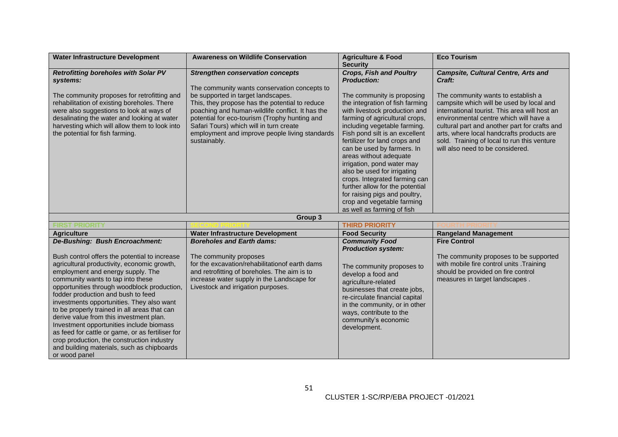| <b>Water Infrastructure Development</b>                                                                                                                                                                                                                                                                                                                                                                                                                                                                                                                                                         | <b>Awareness on Wildlife Conservation</b>                                                                                                                                                                                                                                                              | <b>Agriculture &amp; Food</b><br><b>Security</b>                                                                                                                                                                                                                                                                                                                                                                                                                                                                          | <b>Eco Tourism</b>                                                                                                                                                                                                                                                                                                                                         |
|-------------------------------------------------------------------------------------------------------------------------------------------------------------------------------------------------------------------------------------------------------------------------------------------------------------------------------------------------------------------------------------------------------------------------------------------------------------------------------------------------------------------------------------------------------------------------------------------------|--------------------------------------------------------------------------------------------------------------------------------------------------------------------------------------------------------------------------------------------------------------------------------------------------------|---------------------------------------------------------------------------------------------------------------------------------------------------------------------------------------------------------------------------------------------------------------------------------------------------------------------------------------------------------------------------------------------------------------------------------------------------------------------------------------------------------------------------|------------------------------------------------------------------------------------------------------------------------------------------------------------------------------------------------------------------------------------------------------------------------------------------------------------------------------------------------------------|
| <b>Retrofitting boreholes with Solar PV</b><br>systems:                                                                                                                                                                                                                                                                                                                                                                                                                                                                                                                                         | <b>Strengthen conservation concepts</b><br>The community wants conservation concepts to                                                                                                                                                                                                                | <b>Crops, Fish and Poultry</b><br><b>Production:</b>                                                                                                                                                                                                                                                                                                                                                                                                                                                                      | <b>Campsite, Cultural Centre, Arts and</b><br>Craft:                                                                                                                                                                                                                                                                                                       |
| The community proposes for retrofitting and<br>rehabilitation of existing boreholes. There<br>were also suggestions to look at ways of<br>desalinating the water and looking at water<br>harvesting which will allow them to look into<br>the potential for fish farming.                                                                                                                                                                                                                                                                                                                       | be supported in target landscapes.<br>This, they propose has the potential to reduce<br>poaching and human-wildlife conflict. It has the<br>potential for eco-tourism (Trophy hunting and<br>Safari Tours) which will in turn create<br>employment and improve people living standards<br>sustainably. | The community is proposing<br>the integration of fish farming<br>with livestock production and<br>farming of agricultural crops,<br>including vegetable farming.<br>Fish pond silt is an excellent<br>fertilizer for land crops and<br>can be used by farmers. In<br>areas without adequate<br>irrigation, pond water may<br>also be used for irrigating<br>crops. Integrated farming can<br>further allow for the potential<br>for raising pigs and poultry,<br>crop and vegetable farming<br>as well as farming of fish | The community wants to establish a<br>campsite which will be used by local and<br>international tourist. This area will host an<br>environmental centre which will have a<br>cultural part and another part for crafts and<br>arts, where local handcrafts products are<br>sold. Training of local to run this venture<br>will also need to be considered. |
|                                                                                                                                                                                                                                                                                                                                                                                                                                                                                                                                                                                                 | Group 3                                                                                                                                                                                                                                                                                                |                                                                                                                                                                                                                                                                                                                                                                                                                                                                                                                           |                                                                                                                                                                                                                                                                                                                                                            |
| <b>FIRST PRIORITY</b>                                                                                                                                                                                                                                                                                                                                                                                                                                                                                                                                                                           |                                                                                                                                                                                                                                                                                                        | <b>THIRD PRIORITY</b>                                                                                                                                                                                                                                                                                                                                                                                                                                                                                                     |                                                                                                                                                                                                                                                                                                                                                            |
| <b>Agriculture</b>                                                                                                                                                                                                                                                                                                                                                                                                                                                                                                                                                                              | <b>Water Infrastructure Development</b>                                                                                                                                                                                                                                                                | <b>Food Security</b>                                                                                                                                                                                                                                                                                                                                                                                                                                                                                                      | <b>Rangeland Management</b>                                                                                                                                                                                                                                                                                                                                |
| De-Bushing: Bush Encroachment:                                                                                                                                                                                                                                                                                                                                                                                                                                                                                                                                                                  | <b>Boreholes and Earth dams:</b>                                                                                                                                                                                                                                                                       | <b>Community Food</b><br><b>Production system:</b>                                                                                                                                                                                                                                                                                                                                                                                                                                                                        | <b>Fire Control</b>                                                                                                                                                                                                                                                                                                                                        |
| Bush control offers the potential to increase<br>agricultural productivity, economic growth,<br>employment and energy supply. The<br>community wants to tap into these<br>opportunities through woodblock production,<br>fodder production and bush to feed<br>investments opportunities. They also want<br>to be properly trained in all areas that can<br>derive value from this investment plan.<br>Investment opportunities include biomass<br>as feed for cattle or game, or as fertiliser for<br>crop production, the construction industry<br>and building materials, such as chipboards | The community proposes<br>for the excavation/rehabilitationof earth dams<br>and retrofitting of boreholes. The aim is to<br>increase water supply in the Landscape for<br>Livestock and irrigation purposes.                                                                                           | The community proposes to<br>develop a food and<br>agriculture-related<br>businesses that create jobs,<br>re-circulate financial capital<br>in the community, or in other<br>ways, contribute to the<br>community's economic<br>development.                                                                                                                                                                                                                                                                              | The community proposes to be supported<br>with mobile fire control units .Training<br>should be provided on fire control<br>measures in target landscapes.                                                                                                                                                                                                 |